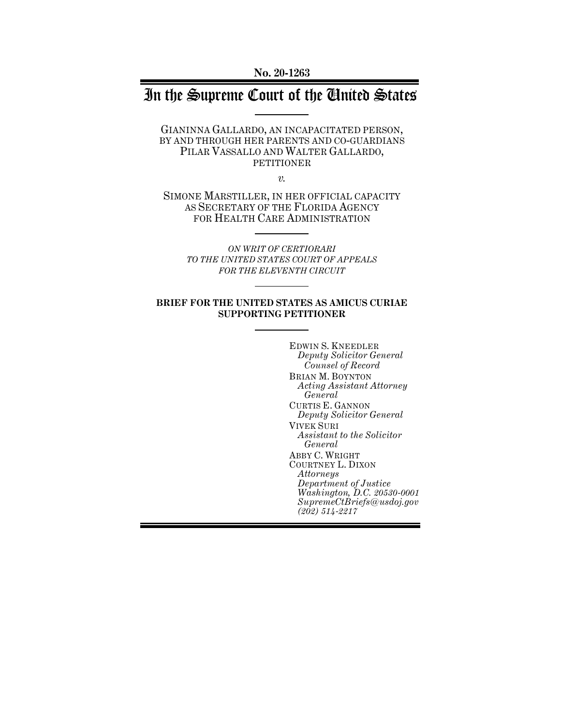# In the Supreme Court of the United States

GIANINNA GALLARDO, AN INCAPACITATED PERSON, BY AND THROUGH HER PARENTS AND CO-GUARDIANS PILAR VASSALLO AND WALTER GALLARDO, PETITIONER

*v.*

SIMONE MARSTILLER, IN HER OFFICIAL CAPACITY AS SECRETARY OF THE FLORIDA AGENCY FOR HEALTH CARE ADMINISTRATION

> *ON WRIT OF CERTIORARI TO THE UNITED STATES COURT OF APPEALS FOR THE ELEVENTH CIRCUIT*

#### **BRIEF FOR THE UNITED STATES AS AMICUS CURIAE SUPPORTING PETITIONER**

EDWIN S. KNEEDLER *Deputy Solicitor General Counsel of Record* BRIAN M. BOYNTON *Acting Assistant Attorney General* CURTIS E. GANNON *Deputy Solicitor General* VIVEK SURI *Assistant to the Solicitor General* ABBY C. WRIGHT COURTNEY L. DIXON *Attorneys Department of Justice Washington, D.C. 20530-0001 SupremeCtBriefs@usdoj.gov (202) 514-2217*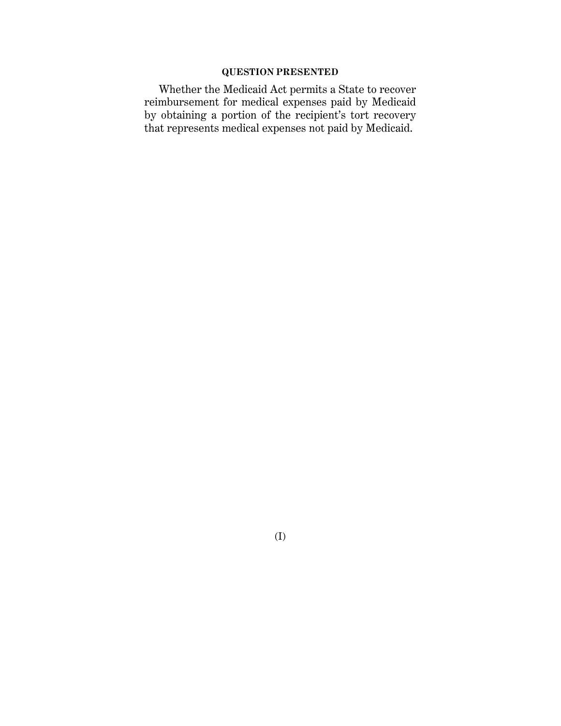# **QUESTION PRESENTED**

Whether the Medicaid Act permits a State to recover reimbursement for medical expenses paid by Medicaid by obtaining a portion of the recipient's tort recovery that represents medical expenses not paid by Medicaid.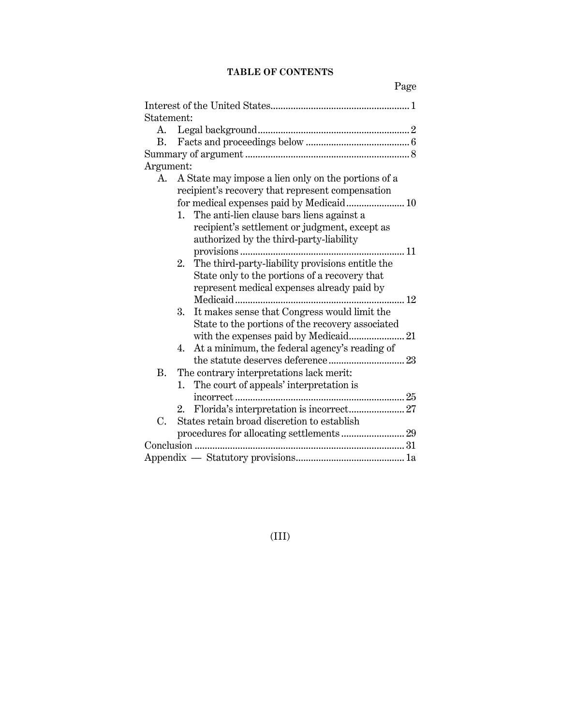# **TABLE OF CONTENTS**

| Statement: |                                                     |                                                  |  |  |  |
|------------|-----------------------------------------------------|--------------------------------------------------|--|--|--|
|            |                                                     |                                                  |  |  |  |
| В.         |                                                     |                                                  |  |  |  |
|            |                                                     |                                                  |  |  |  |
| Argument:  |                                                     |                                                  |  |  |  |
| А.         | A State may impose a lien only on the portions of a |                                                  |  |  |  |
|            | recipient's recovery that represent compensation    |                                                  |  |  |  |
|            | for medical expenses paid by Medicaid 10            |                                                  |  |  |  |
|            | 1.                                                  | The anti-lien clause bars liens against a        |  |  |  |
|            |                                                     | recipient's settlement or judgment, except as    |  |  |  |
|            |                                                     | authorized by the third-party-liability          |  |  |  |
|            |                                                     | 11                                               |  |  |  |
|            | 2.                                                  | The third-party-liability provisions entitle the |  |  |  |
|            |                                                     | State only to the portions of a recovery that    |  |  |  |
|            |                                                     | represent medical expenses already paid by       |  |  |  |
|            |                                                     | $\ldots$ 12                                      |  |  |  |
|            | 3.                                                  | It makes sense that Congress would limit the     |  |  |  |
|            |                                                     | State to the portions of the recovery associated |  |  |  |
|            |                                                     |                                                  |  |  |  |
|            | 4.                                                  | At a minimum, the federal agency's reading of    |  |  |  |
|            |                                                     |                                                  |  |  |  |
| <b>B.</b>  |                                                     | The contrary interpretations lack merit:         |  |  |  |
|            | 1.                                                  | The court of appeals' interpretation is          |  |  |  |
|            |                                                     |                                                  |  |  |  |
|            | 2.                                                  | Florida's interpretation is incorrect 27         |  |  |  |
| C.         |                                                     | States retain broad discretion to establish      |  |  |  |
|            |                                                     |                                                  |  |  |  |
|            |                                                     |                                                  |  |  |  |
|            |                                                     |                                                  |  |  |  |
|            |                                                     |                                                  |  |  |  |

# (III)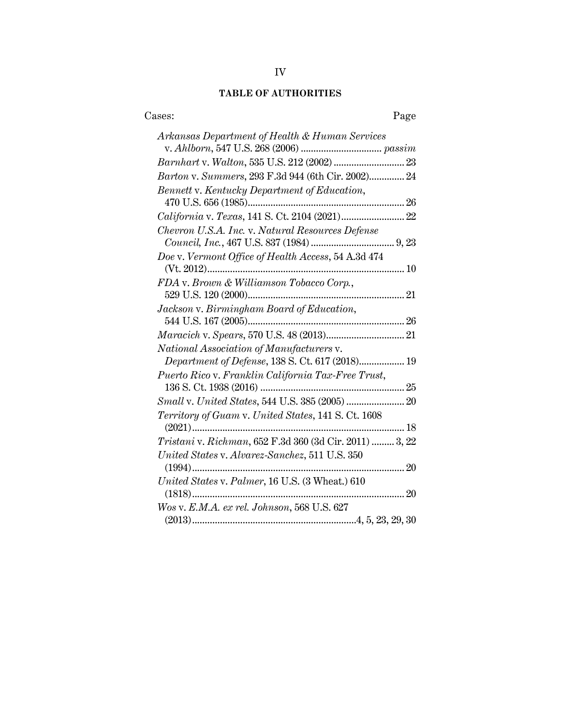# **TABLE OF AUTHORITIES**

| Cases:<br>Page                                          |
|---------------------------------------------------------|
| Arkansas Department of Health & Human Services          |
|                                                         |
| Barton v. Summers, 293 F.3d 944 (6th Cir. 2002) 24      |
| Bennett v. Kentucky Department of Education,            |
| California v. Texas, 141 S. Ct. 2104 (2021) 22          |
| Chevron U.S.A. Inc. v. Natural Resources Defense        |
|                                                         |
| Doe v. Vermont Office of Health Access, 54 A.3d 474     |
|                                                         |
| FDA v. Brown & Williamson Tobacco Corp.,                |
|                                                         |
| Jackson v. Birmingham Board of Education,               |
|                                                         |
|                                                         |
| National Association of Manufacturers v.                |
| Department of Defense, 138 S. Ct. 617 (2018) 19         |
| Puerto Rico v. Franklin California Tax-Free Trust,      |
|                                                         |
|                                                         |
| Territory of Guam v. United States, 141 S. Ct. 1608     |
| Tristani v. Richman, 652 F.3d 360 (3d Cir. 2011)  3, 22 |
| United States v. Alvarez-Sanchez, 511 U.S. 350          |
| United States v. Palmer, 16 U.S. (3 Wheat.) 610         |
|                                                         |
| Wos v. E.M.A. ex rel. Johnson, 568 U.S. 627             |
|                                                         |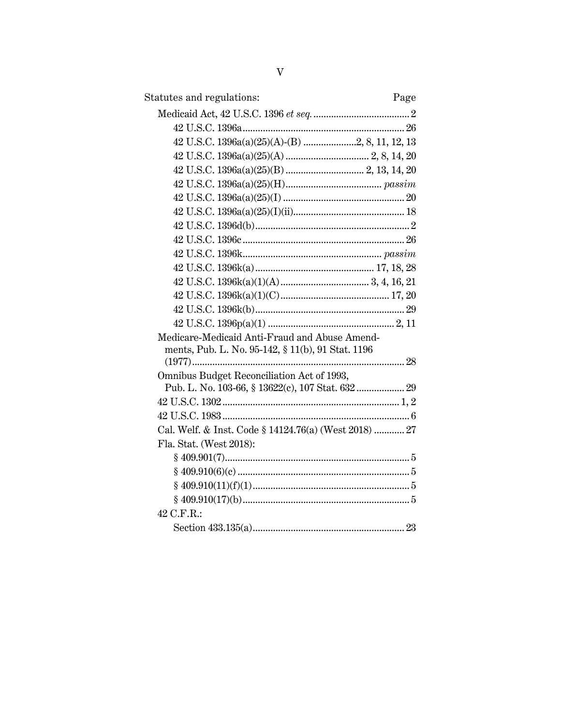| Statutes and regulations:                             | Page |
|-------------------------------------------------------|------|
|                                                       |      |
|                                                       |      |
| 42 U.S.C. 1396a(a)(25)(A)-(B) 2, 8, 11, 12, 13        |      |
|                                                       |      |
|                                                       |      |
|                                                       |      |
|                                                       |      |
|                                                       |      |
|                                                       |      |
|                                                       |      |
|                                                       |      |
|                                                       |      |
|                                                       |      |
|                                                       |      |
|                                                       |      |
|                                                       |      |
| Medicare-Medicaid Anti-Fraud and Abuse Amend-         |      |
| ments, Pub. L. No. 95-142, § 11(b), 91 Stat. 1196     |      |
|                                                       |      |
| Omnibus Budget Reconciliation Act of 1993,            |      |
| Pub. L. No. 103-66, § 13622(c), 107 Stat. 632  29     |      |
|                                                       |      |
|                                                       |      |
| Cal. Welf. & Inst. Code § 14124.76(a) (West 2018)  27 |      |
| Fla. Stat. (West 2018):                               |      |
|                                                       |      |
|                                                       |      |
|                                                       |      |
|                                                       |      |
| 42 C.F.R.:                                            |      |
|                                                       |      |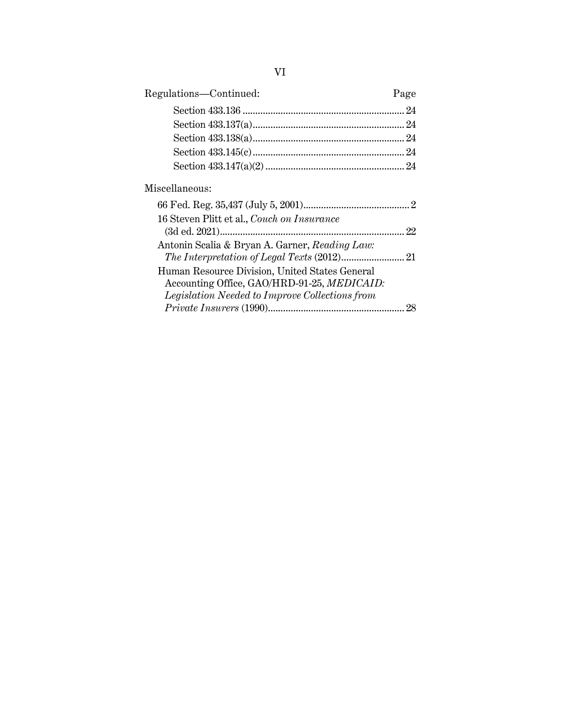| Regulations-Continued:                         | Page |
|------------------------------------------------|------|
|                                                |      |
|                                                |      |
|                                                |      |
|                                                |      |
|                                                |      |
| Miscellaneous:                                 |      |
|                                                |      |
| 16 Steven Plitt et al., Couch on Insurance     |      |
|                                                |      |
| Antonin Scalia & Bryan A. Garner, Reading Law: |      |
|                                                |      |
| Human Resource Division, United States General |      |
| Accounting Office, GAO/HRD-91-25, MEDICAID:    |      |
| Legislation Needed to Improve Collections from |      |
| $Private\,Insurers\,(1990)$                    | 28   |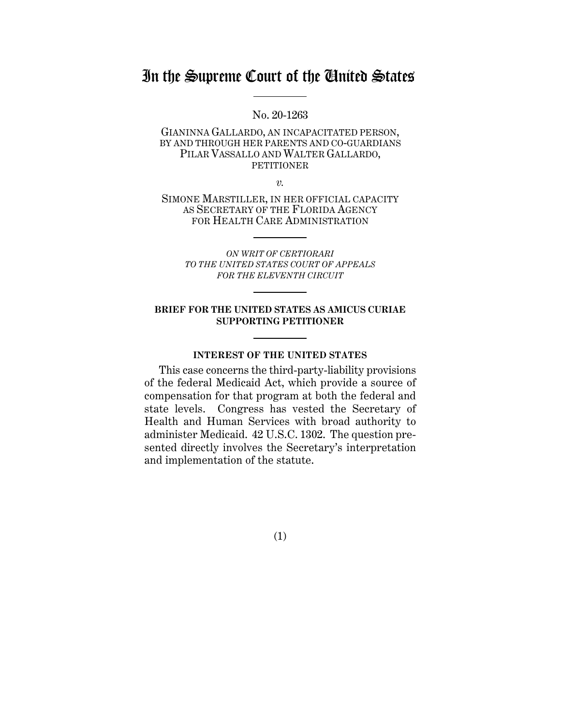# In the Supreme Court of the United States

No. 20-1263

GIANINNA GALLARDO, AN INCAPACITATED PERSON, BY AND THROUGH HER PARENTS AND CO-GUARDIANS PILAR VASSALLO AND WALTER GALLARDO, **PETITIONER** 

*v.*

SIMONE MARSTILLER, IN HER OFFICIAL CAPACITY AS SECRETARY OF THE FLORIDA AGENCY FOR HEALTH CARE ADMINISTRATION

*ON WRIT OF CERTIORARI TO THE UNITED STATES COURT OF APPEALS FOR THE ELEVENTH CIRCUIT* 

#### **BRIEF FOR THE UNITED STATES AS AMICUS CURIAE SUPPORTING PETITIONER**

# **INTEREST OF THE UNITED STATES**

This case concerns the third-party-liability provisions of the federal Medicaid Act, which provide a source of compensation for that program at both the federal and state levels. Congress has vested the Secretary of Health and Human Services with broad authority to administer Medicaid. 42 U.S.C. 1302. The question presented directly involves the Secretary's interpretation and implementation of the statute.

(1)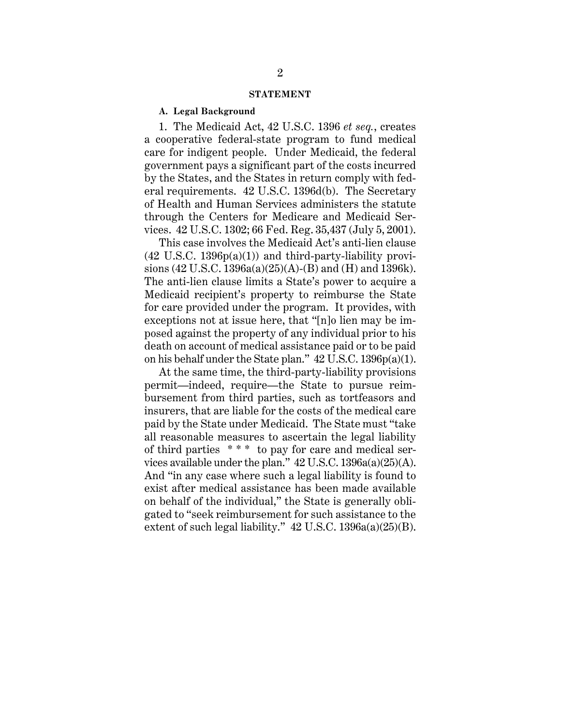#### **STATEMENT**

#### **A. Legal Background**

1. The Medicaid Act, 42 U.S.C. 1396 *et seq.*, creates a cooperative federal-state program to fund medical care for indigent people. Under Medicaid, the federal government pays a significant part of the costs incurred by the States, and the States in return comply with federal requirements. 42 U.S.C. 1396d(b). The Secretary of Health and Human Services administers the statute through the Centers for Medicare and Medicaid Services. 42 U.S.C. 1302; 66 Fed. Reg. 35,437 (July 5, 2001).

This case involves the Medicaid Act's anti-lien clause  $(42 \text{ U.S.C. } 1396p(a)(1))$  and third-party-liability provisions (42 U.S.C. 1396a(a)(25)(A)-(B) and (H) and 1396k). The anti-lien clause limits a State's power to acquire a Medicaid recipient's property to reimburse the State for care provided under the program. It provides, with exceptions not at issue here, that "[n]o lien may be imposed against the property of any individual prior to his death on account of medical assistance paid or to be paid on his behalf under the State plan." 42 U.S.C. 1396p(a)(1).

At the same time, the third-party-liability provisions permit—indeed, require—the State to pursue reimbursement from third parties, such as tortfeasors and insurers, that are liable for the costs of the medical care paid by the State under Medicaid. The State must "take all reasonable measures to ascertain the legal liability of third parties \* \* \* to pay for care and medical services available under the plan." 42 U.S.C. 1396a(a)(25)(A). And "in any case where such a legal liability is found to exist after medical assistance has been made available on behalf of the individual," the State is generally obligated to "seek reimbursement for such assistance to the extent of such legal liability."  $42 \text{ U.S.C. } 1396a(a)(25)(B)$ .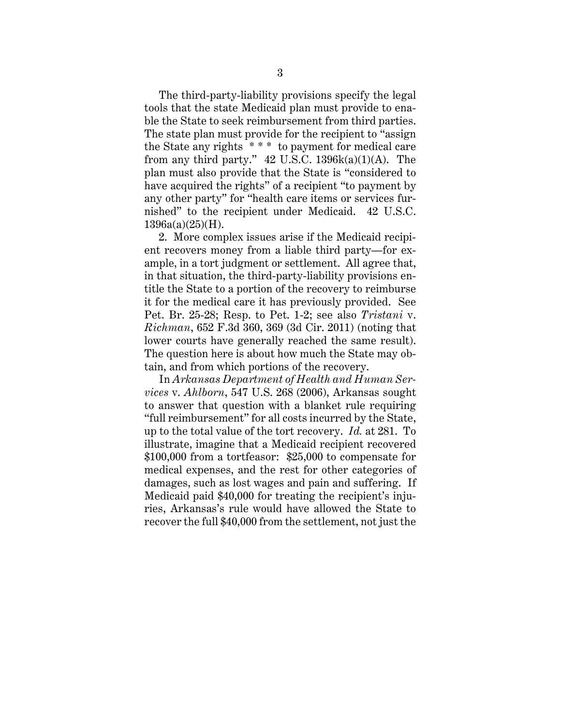The third-party-liability provisions specify the legal tools that the state Medicaid plan must provide to enable the State to seek reimbursement from third parties. The state plan must provide for the recipient to "assign the State any rights \* \* \* to payment for medical care from any third party."  $42$  U.S.C. 1396 $k(a)(1)(A)$ . The plan must also provide that the State is "considered to have acquired the rights" of a recipient "to payment by any other party" for "health care items or services furnished" to the recipient under Medicaid. 42 U.S.C. 1396a(a)(25)(H).

2. More complex issues arise if the Medicaid recipient recovers money from a liable third party—for example, in a tort judgment or settlement. All agree that, in that situation, the third-party-liability provisions entitle the State to a portion of the recovery to reimburse it for the medical care it has previously provided. See Pet. Br. 25-28; Resp. to Pet. 1-2; see also *Tristani* v. *Richman*, 652 F.3d 360, 369 (3d Cir. 2011) (noting that lower courts have generally reached the same result). The question here is about how much the State may obtain, and from which portions of the recovery.

In *Arkansas Department of Health and Human Services* v. *Ahlborn*, 547 U.S. 268 (2006), Arkansas sought to answer that question with a blanket rule requiring "full reimbursement" for all costs incurred by the State, up to the total value of the tort recovery. *Id.* at 281. To illustrate, imagine that a Medicaid recipient recovered \$100,000 from a tortfeasor: \$25,000 to compensate for medical expenses, and the rest for other categories of damages, such as lost wages and pain and suffering. If Medicaid paid \$40,000 for treating the recipient's injuries, Arkansas's rule would have allowed the State to recover the full \$40,000 from the settlement, not just the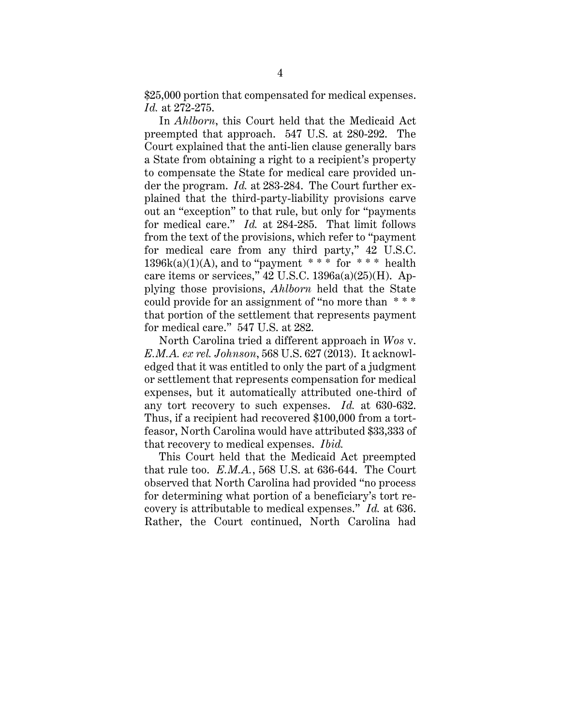\$25,000 portion that compensated for medical expenses. *Id.* at 272-275.

In *Ahlborn*, this Court held that the Medicaid Act preempted that approach. 547 U.S. at 280-292. The Court explained that the anti-lien clause generally bars a State from obtaining a right to a recipient's property to compensate the State for medical care provided under the program. *Id.* at 283-284. The Court further explained that the third-party-liability provisions carve out an "exception" to that rule, but only for "payments for medical care." *Id.* at 284-285. That limit follows from the text of the provisions, which refer to "payment for medical care from any third party," 42 U.S.C.  $1396k(a)(1)(A)$ , and to "payment \*\*\* for \*\*\* health care items or services," 42 U.S.C. 1396a(a)(25)(H). Applying those provisions, *Ahlborn* held that the State could provide for an assignment of "no more than \* \* \* that portion of the settlement that represents payment for medical care." 547 U.S. at 282.

North Carolina tried a different approach in *Wos* v. *E.M.A. ex rel. Johnson*, 568 U.S. 627 (2013). It acknowledged that it was entitled to only the part of a judgment or settlement that represents compensation for medical expenses, but it automatically attributed one-third of any tort recovery to such expenses. *Id.* at 630-632. Thus, if a recipient had recovered \$100,000 from a tortfeasor, North Carolina would have attributed \$33,333 of that recovery to medical expenses. *Ibid.*

This Court held that the Medicaid Act preempted that rule too. *E.M.A.*, 568 U.S. at 636-644. The Court observed that North Carolina had provided "no process for determining what portion of a beneficiary's tort recovery is attributable to medical expenses." *Id.* at 636. Rather, the Court continued, North Carolina had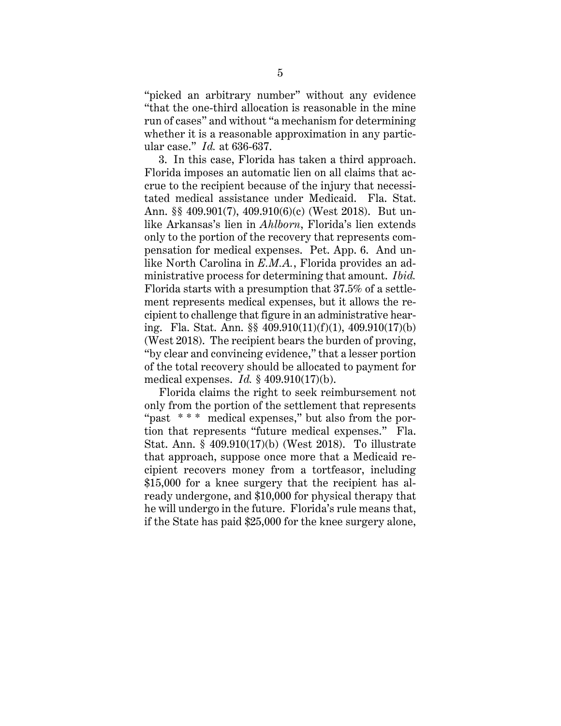"picked an arbitrary number" without any evidence "that the one-third allocation is reasonable in the mine run of cases" and without "a mechanism for determining whether it is a reasonable approximation in any particular case." *Id.* at 636-637.

3. In this case, Florida has taken a third approach. Florida imposes an automatic lien on all claims that accrue to the recipient because of the injury that necessitated medical assistance under Medicaid. Fla. Stat. Ann. §§ 409.901(7), 409.910(6)(c) (West 2018). But unlike Arkansas's lien in *Ahlborn*, Florida's lien extends only to the portion of the recovery that represents compensation for medical expenses. Pet. App. 6. And unlike North Carolina in *E.M.A.*, Florida provides an administrative process for determining that amount. *Ibid.* Florida starts with a presumption that 37.5% of a settlement represents medical expenses, but it allows the recipient to challenge that figure in an administrative hearing. Fla. Stat. Ann. §§ 409.910(11)(f)(1), 409.910(17)(b) (West 2018). The recipient bears the burden of proving, "by clear and convincing evidence," that a lesser portion of the total recovery should be allocated to payment for medical expenses. *Id.* § 409.910(17)(b).

Florida claims the right to seek reimbursement not only from the portion of the settlement that represents "past \* \* \* medical expenses," but also from the portion that represents "future medical expenses." Fla. Stat. Ann. § 409.910(17)(b) (West 2018). To illustrate that approach, suppose once more that a Medicaid recipient recovers money from a tortfeasor, including \$15,000 for a knee surgery that the recipient has already undergone, and \$10,000 for physical therapy that he will undergo in the future. Florida's rule means that, if the State has paid \$25,000 for the knee surgery alone,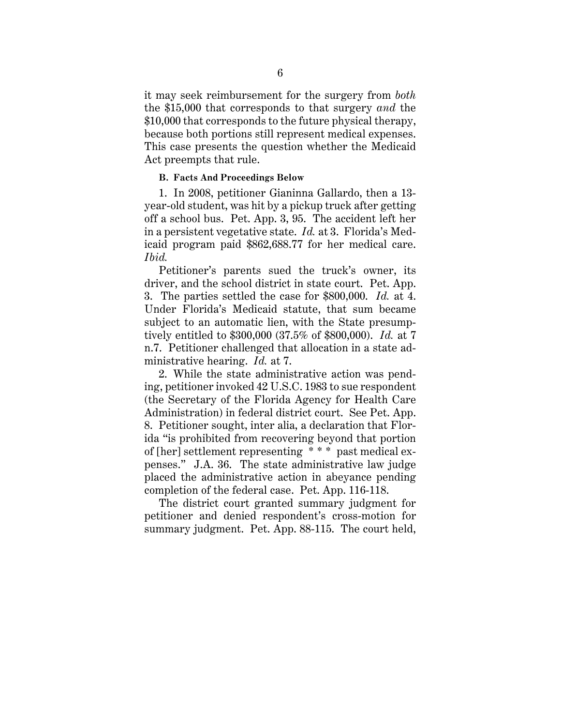it may seek reimbursement for the surgery from *both* the \$15,000 that corresponds to that surgery *and* the \$10,000 that corresponds to the future physical therapy, because both portions still represent medical expenses. This case presents the question whether the Medicaid Act preempts that rule.

#### **B. Facts And Proceedings Below**

1. In 2008, petitioner Gianinna Gallardo, then a 13 year-old student, was hit by a pickup truck after getting off a school bus. Pet. App. 3, 95. The accident left her in a persistent vegetative state. *Id.* at 3. Florida's Medicaid program paid \$862,688.77 for her medical care. *Ibid.*

Petitioner's parents sued the truck's owner, its driver, and the school district in state court. Pet. App. 3. The parties settled the case for \$800,000. *Id.* at 4. Under Florida's Medicaid statute, that sum became subject to an automatic lien, with the State presumptively entitled to \$300,000 (37.5% of \$800,000). *Id.* at 7 n.7. Petitioner challenged that allocation in a state administrative hearing. *Id.* at 7.

2. While the state administrative action was pending, petitioner invoked 42 U.S.C. 1983 to sue respondent (the Secretary of the Florida Agency for Health Care Administration) in federal district court. See Pet. App. 8. Petitioner sought, inter alia, a declaration that Florida "is prohibited from recovering beyond that portion of [her] settlement representing \* \* \* past medical expenses." J.A. 36. The state administrative law judge placed the administrative action in abeyance pending completion of the federal case. Pet. App. 116-118.

The district court granted summary judgment for petitioner and denied respondent's cross-motion for summary judgment. Pet. App. 88-115. The court held,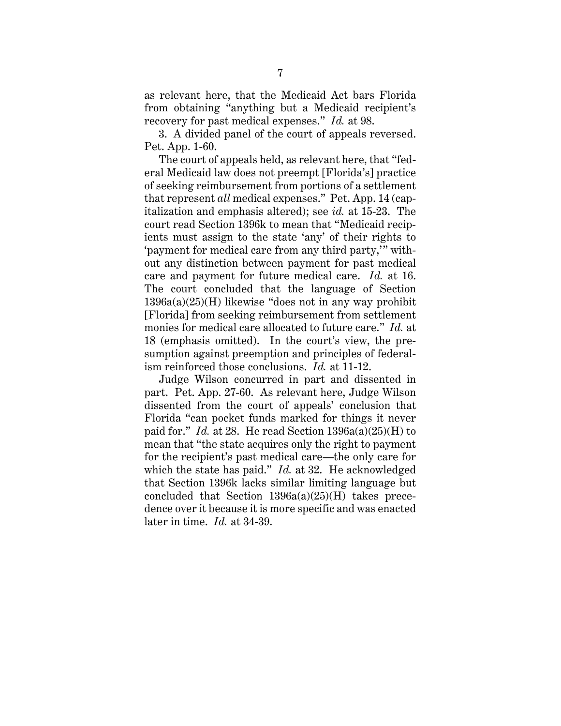as relevant here, that the Medicaid Act bars Florida from obtaining "anything but a Medicaid recipient's recovery for past medical expenses." *Id.* at 98.

3. A divided panel of the court of appeals reversed. Pet. App. 1-60.

The court of appeals held, as relevant here, that "federal Medicaid law does not preempt [Florida's] practice of seeking reimbursement from portions of a settlement that represent *all* medical expenses." Pet. App. 14 (capitalization and emphasis altered); see *id.* at 15-23. The court read Section 1396k to mean that "Medicaid recipients must assign to the state 'any' of their rights to 'payment for medical care from any third party,'" without any distinction between payment for past medical care and payment for future medical care. *Id.* at 16. The court concluded that the language of Section 1396a(a)(25)(H) likewise "does not in any way prohibit [Florida] from seeking reimbursement from settlement monies for medical care allocated to future care." *Id.* at 18 (emphasis omitted). In the court's view, the presumption against preemption and principles of federalism reinforced those conclusions. *Id.* at 11-12.

Judge Wilson concurred in part and dissented in part. Pet. App. 27-60. As relevant here, Judge Wilson dissented from the court of appeals' conclusion that Florida "can pocket funds marked for things it never paid for." *Id.* at 28. He read Section 1396a(a)(25)(H) to mean that "the state acquires only the right to payment for the recipient's past medical care—the only care for which the state has paid." *Id.* at 32. He acknowledged that Section 1396k lacks similar limiting language but concluded that Section  $1396a(a)(25)(H)$  takes precedence over it because it is more specific and was enacted later in time. *Id.* at 34-39.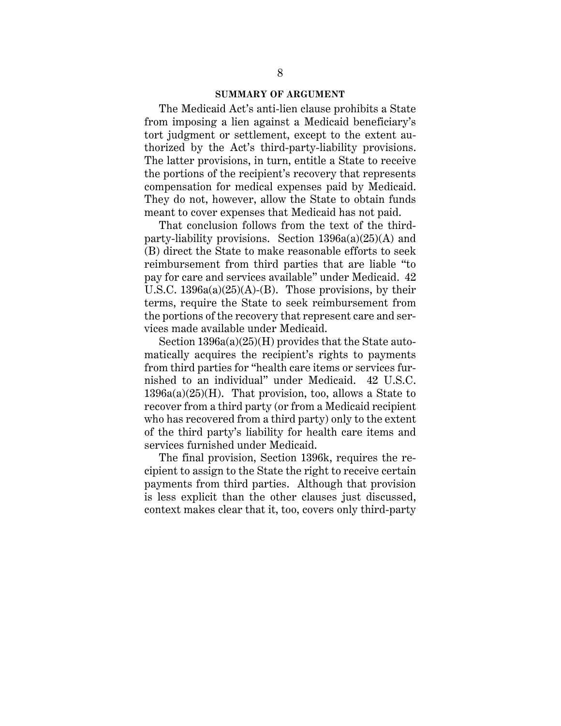#### **SUMMARY OF ARGUMENT**

The Medicaid Act's anti-lien clause prohibits a State from imposing a lien against a Medicaid beneficiary's tort judgment or settlement, except to the extent authorized by the Act's third-party-liability provisions. The latter provisions, in turn, entitle a State to receive the portions of the recipient's recovery that represents compensation for medical expenses paid by Medicaid. They do not, however, allow the State to obtain funds meant to cover expenses that Medicaid has not paid.

That conclusion follows from the text of the thirdparty-liability provisions. Section  $1396a(a)(25)(A)$  and (B) direct the State to make reasonable efforts to seek reimbursement from third parties that are liable "to pay for care and services available" under Medicaid. 42 U.S.C.  $1396a(a)(25)(A)$ -(B). Those provisions, by their terms, require the State to seek reimbursement from the portions of the recovery that represent care and services made available under Medicaid.

Section 1396a(a)(25)(H) provides that the State automatically acquires the recipient's rights to payments from third parties for "health care items or services furnished to an individual" under Medicaid. 42 U.S.C.  $1396a(a)(25)(H)$ . That provision, too, allows a State to recover from a third party (or from a Medicaid recipient who has recovered from a third party) only to the extent of the third party's liability for health care items and services furnished under Medicaid.

The final provision, Section 1396k, requires the recipient to assign to the State the right to receive certain payments from third parties. Although that provision is less explicit than the other clauses just discussed, context makes clear that it, too, covers only third-party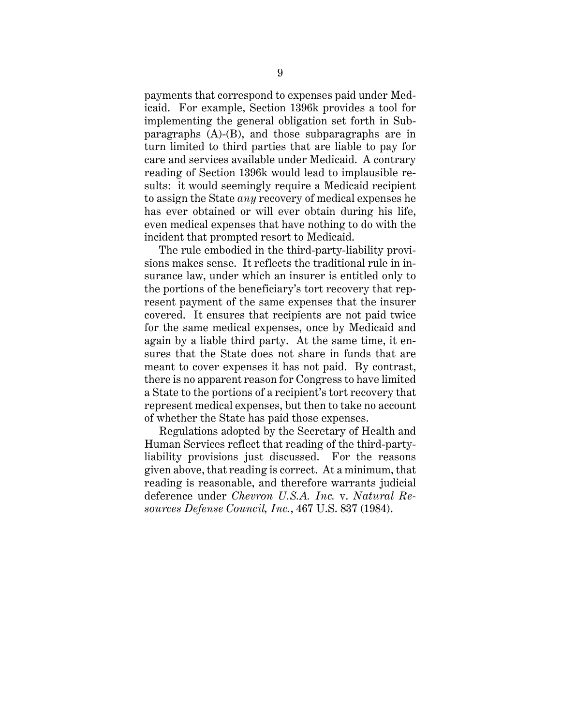payments that correspond to expenses paid under Medicaid. For example, Section 1396k provides a tool for implementing the general obligation set forth in Subparagraphs (A)-(B), and those subparagraphs are in turn limited to third parties that are liable to pay for care and services available under Medicaid. A contrary reading of Section 1396k would lead to implausible results: it would seemingly require a Medicaid recipient to assign the State *any* recovery of medical expenses he has ever obtained or will ever obtain during his life, even medical expenses that have nothing to do with the incident that prompted resort to Medicaid.

The rule embodied in the third-party-liability provisions makes sense. It reflects the traditional rule in insurance law, under which an insurer is entitled only to the portions of the beneficiary's tort recovery that represent payment of the same expenses that the insurer covered. It ensures that recipients are not paid twice for the same medical expenses, once by Medicaid and again by a liable third party. At the same time, it ensures that the State does not share in funds that are meant to cover expenses it has not paid. By contrast, there is no apparent reason for Congress to have limited a State to the portions of a recipient's tort recovery that represent medical expenses, but then to take no account of whether the State has paid those expenses.

Regulations adopted by the Secretary of Health and Human Services reflect that reading of the third-partyliability provisions just discussed. For the reasons given above, that reading is correct. At a minimum, that reading is reasonable, and therefore warrants judicial deference under *Chevron U.S.A. Inc.* v. *Natural Resources Defense Council, Inc.*, 467 U.S. 837 (1984).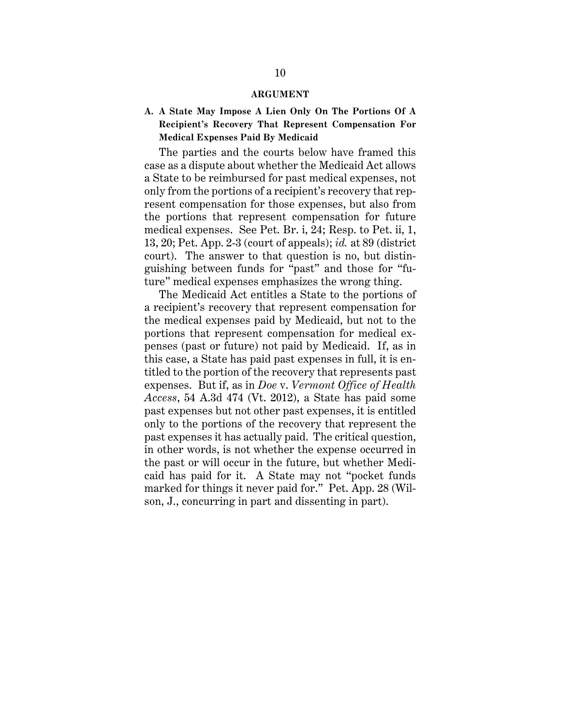#### **ARGUMENT**

# **A. A State May Impose A Lien Only On The Portions Of A Recipient's Recovery That Represent Compensation For Medical Expenses Paid By Medicaid**

The parties and the courts below have framed this case as a dispute about whether the Medicaid Act allows a State to be reimbursed for past medical expenses, not only from the portions of a recipient's recovery that represent compensation for those expenses, but also from the portions that represent compensation for future medical expenses. See Pet. Br. i, 24; Resp. to Pet. ii, 1, 13, 20; Pet. App. 2-3 (court of appeals); *id.* at 89 (district court). The answer to that question is no, but distinguishing between funds for "past" and those for "future" medical expenses emphasizes the wrong thing.

The Medicaid Act entitles a State to the portions of a recipient's recovery that represent compensation for the medical expenses paid by Medicaid, but not to the portions that represent compensation for medical expenses (past or future) not paid by Medicaid. If, as in this case, a State has paid past expenses in full, it is entitled to the portion of the recovery that represents past expenses. But if, as in *Doe* v. *Vermont Office of Health Access*, 54 A.3d 474 (Vt. 2012), a State has paid some past expenses but not other past expenses, it is entitled only to the portions of the recovery that represent the past expenses it has actually paid. The critical question, in other words, is not whether the expense occurred in the past or will occur in the future, but whether Medicaid has paid for it. A State may not "pocket funds marked for things it never paid for." Pet. App. 28 (Wilson, J., concurring in part and dissenting in part).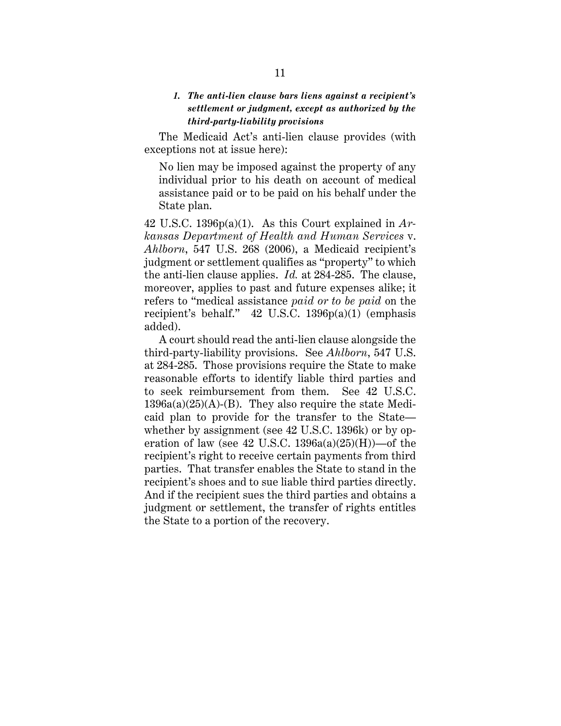# *1. The anti-lien clause bars liens against a recipient's settlement or judgment, except as authorized by the third-party-liability provisions*

The Medicaid Act's anti-lien clause provides (with exceptions not at issue here):

No lien may be imposed against the property of any individual prior to his death on account of medical assistance paid or to be paid on his behalf under the State plan.

42 U.S.C. 1396p(a)(1). As this Court explained in *Arkansas Department of Health and Human Services* v. *Ahlborn*, 547 U.S. 268 (2006), a Medicaid recipient's judgment or settlement qualifies as "property" to which the anti-lien clause applies. *Id.* at 284-285. The clause, moreover, applies to past and future expenses alike; it refers to "medical assistance *paid or to be paid* on the recipient's behalf." 42 U.S.C. 1396p(a)(1) (emphasis added).

A court should read the anti-lien clause alongside the third-party-liability provisions. See *Ahlborn*, 547 U.S. at 284-285. Those provisions require the State to make reasonable efforts to identify liable third parties and to seek reimbursement from them. See 42 U.S.C.  $1396a(a)(25)(A)-(B)$ . They also require the state Medicaid plan to provide for the transfer to the State whether by assignment (see 42 U.S.C. 1396k) or by operation of law (see 42 U.S.C.  $1396a(a)(25)(H)$ )—of the recipient's right to receive certain payments from third parties. That transfer enables the State to stand in the recipient's shoes and to sue liable third parties directly. And if the recipient sues the third parties and obtains a judgment or settlement, the transfer of rights entitles the State to a portion of the recovery.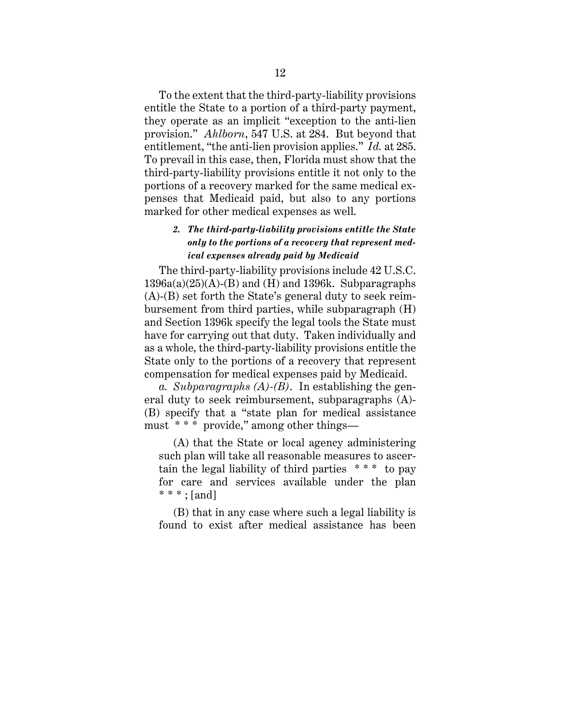To the extent that the third-party-liability provisions entitle the State to a portion of a third-party payment, they operate as an implicit "exception to the anti-lien provision." *Ahlborn*, 547 U.S. at 284. But beyond that entitlement, "the anti-lien provision applies." *Id.* at 285. To prevail in this case, then, Florida must show that the third-party-liability provisions entitle it not only to the portions of a recovery marked for the same medical expenses that Medicaid paid, but also to any portions marked for other medical expenses as well.

# *2. The third-party-liability provisions entitle the State only to the portions of a recovery that represent medical expenses already paid by Medicaid*

The third-party-liability provisions include 42 U.S.C.  $1396a(a)(25)(A)$ -(B) and (H) and 1396k. Subparagraphs (A)-(B) set forth the State's general duty to seek reimbursement from third parties, while subparagraph (H) and Section 1396k specify the legal tools the State must have for carrying out that duty. Taken individually and as a whole, the third-party-liability provisions entitle the State only to the portions of a recovery that represent compensation for medical expenses paid by Medicaid.

*a. Subparagraphs (A)-(B)*. In establishing the general duty to seek reimbursement, subparagraphs (A)- (B) specify that a "state plan for medical assistance must \* \* \* provide," among other things—

(A) that the State or local agency administering such plan will take all reasonable measures to ascertain the legal liability of third parties \* \* \* to pay for care and services available under the plan  $***$ ; [and]

(B) that in any case where such a legal liability is found to exist after medical assistance has been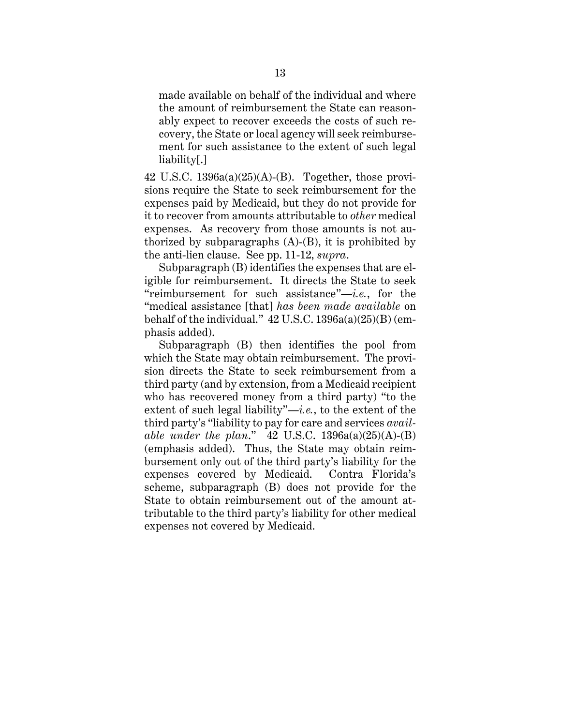made available on behalf of the individual and where the amount of reimbursement the State can reasonably expect to recover exceeds the costs of such recovery, the State or local agency will seek reimbursement for such assistance to the extent of such legal liability[.]

42 U.S.C. 1396a(a)(25)(A)-(B). Together, those provisions require the State to seek reimbursement for the expenses paid by Medicaid, but they do not provide for it to recover from amounts attributable to *other* medical expenses. As recovery from those amounts is not authorized by subparagraphs  $(A)-(B)$ , it is prohibited by the anti-lien clause. See pp. 11-12, *supra*.

Subparagraph (B) identifies the expenses that are eligible for reimbursement. It directs the State to seek "reimbursement for such assistance"—*i.e.*, for the "medical assistance [that] *has been made available* on behalf of the individual."  $42$  U.S.C.  $1396a(a)(25)(B)$  (emphasis added).

Subparagraph (B) then identifies the pool from which the State may obtain reimbursement. The provision directs the State to seek reimbursement from a third party (and by extension, from a Medicaid recipient who has recovered money from a third party) "to the extent of such legal liability"—*i.e.*, to the extent of the third party's "liability to pay for care and services *available under the plan*." 42 U.S.C. 1396a(a)(25)(A)-(B) (emphasis added). Thus, the State may obtain reimbursement only out of the third party's liability for the expenses covered by Medicaid. Contra Florida's scheme, subparagraph (B) does not provide for the State to obtain reimbursement out of the amount attributable to the third party's liability for other medical expenses not covered by Medicaid.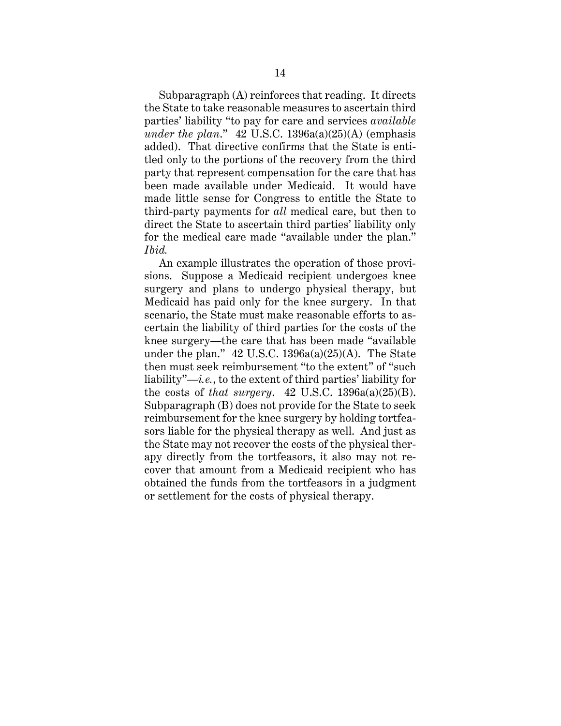Subparagraph (A) reinforces that reading. It directs the State to take reasonable measures to ascertain third parties' liability "to pay for care and services *available under the plan*." 42 U.S.C. 1396a(a)(25)(A) (emphasis added). That directive confirms that the State is entitled only to the portions of the recovery from the third party that represent compensation for the care that has been made available under Medicaid. It would have made little sense for Congress to entitle the State to third-party payments for *all* medical care, but then to direct the State to ascertain third parties' liability only for the medical care made "available under the plan." *Ibid.*

An example illustrates the operation of those provisions. Suppose a Medicaid recipient undergoes knee surgery and plans to undergo physical therapy, but Medicaid has paid only for the knee surgery. In that scenario, the State must make reasonable efforts to ascertain the liability of third parties for the costs of the knee surgery—the care that has been made "available under the plan."  $42$  U.S.C. 1396a(a)(25)(A). The State then must seek reimbursement "to the extent" of "such liability"—*i.e.*, to the extent of third parties' liability for the costs of *that surgery*. 42 U.S.C. 1396a(a)(25)(B). Subparagraph (B) does not provide for the State to seek reimbursement for the knee surgery by holding tortfeasors liable for the physical therapy as well. And just as the State may not recover the costs of the physical therapy directly from the tortfeasors, it also may not recover that amount from a Medicaid recipient who has obtained the funds from the tortfeasors in a judgment or settlement for the costs of physical therapy.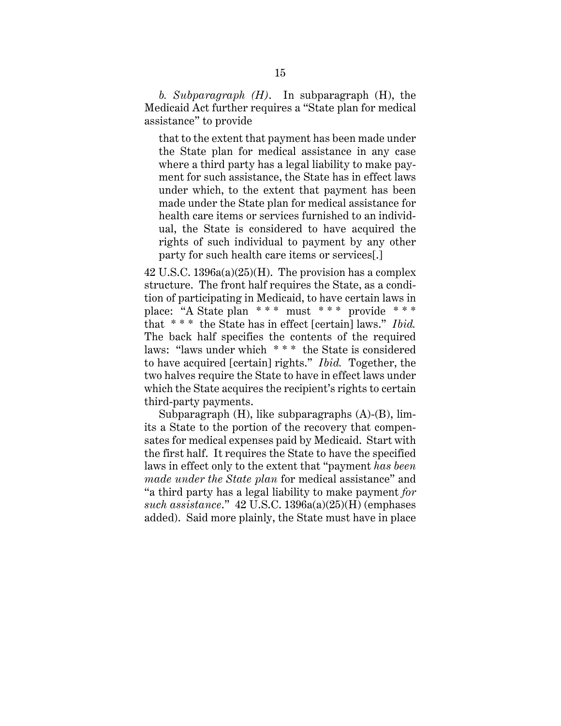*b. Subparagraph (H)*. In subparagraph (H), the Medicaid Act further requires a "State plan for medical assistance" to provide

that to the extent that payment has been made under the State plan for medical assistance in any case where a third party has a legal liability to make payment for such assistance, the State has in effect laws under which, to the extent that payment has been made under the State plan for medical assistance for health care items or services furnished to an individual, the State is considered to have acquired the rights of such individual to payment by any other party for such health care items or services[.]

 $42$  U.S.C.  $1396a(a)(25)$ (H). The provision has a complex structure. The front half requires the State, as a condition of participating in Medicaid, to have certain laws in place: "A State plan \* \* \* must \* \* \* provide \* \* \* that \* \* \* the State has in effect [certain] laws." *Ibid.* The back half specifies the contents of the required laws: "laws under which \* \* \* the State is considered to have acquired [certain] rights." *Ibid.* Together, the two halves require the State to have in effect laws under which the State acquires the recipient's rights to certain third-party payments.

Subparagraph (H), like subparagraphs (A)-(B), limits a State to the portion of the recovery that compensates for medical expenses paid by Medicaid. Start with the first half. It requires the State to have the specified laws in effect only to the extent that "payment *has been made under the State plan* for medical assistance" and "a third party has a legal liability to make payment *for such assistance*." 42 U.S.C. 1396a(a)(25)(H) (emphases added). Said more plainly, the State must have in place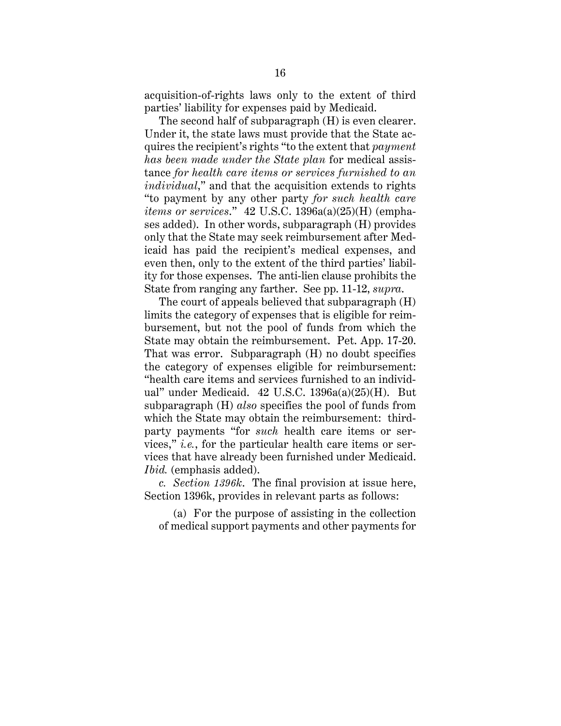acquisition-of-rights laws only to the extent of third parties' liability for expenses paid by Medicaid.

The second half of subparagraph (H) is even clearer. Under it, the state laws must provide that the State acquires the recipient's rights "to the extent that *payment has been made under the State plan* for medical assistance *for health care items or services furnished to an individual*," and that the acquisition extends to rights "to payment by any other party *for such health care items or services*." 42 U.S.C. 1396a(a)(25)(H) (emphases added). In other words, subparagraph (H) provides only that the State may seek reimbursement after Medicaid has paid the recipient's medical expenses, and even then, only to the extent of the third parties' liability for those expenses. The anti-lien clause prohibits the State from ranging any farther. See pp. 11-12, *supra*.

The court of appeals believed that subparagraph (H) limits the category of expenses that is eligible for reimbursement, but not the pool of funds from which the State may obtain the reimbursement. Pet. App. 17-20. That was error. Subparagraph (H) no doubt specifies the category of expenses eligible for reimbursement: "health care items and services furnished to an individual" under Medicaid. 42 U.S.C. 1396a(a)(25)(H). But subparagraph (H) *also* specifies the pool of funds from which the State may obtain the reimbursement: thirdparty payments "for *such* health care items or services," *i.e.*, for the particular health care items or services that have already been furnished under Medicaid. *Ibid.* (emphasis added).

*c. Section 1396k*. The final provision at issue here, Section 1396k, provides in relevant parts as follows:

(a) For the purpose of assisting in the collection of medical support payments and other payments for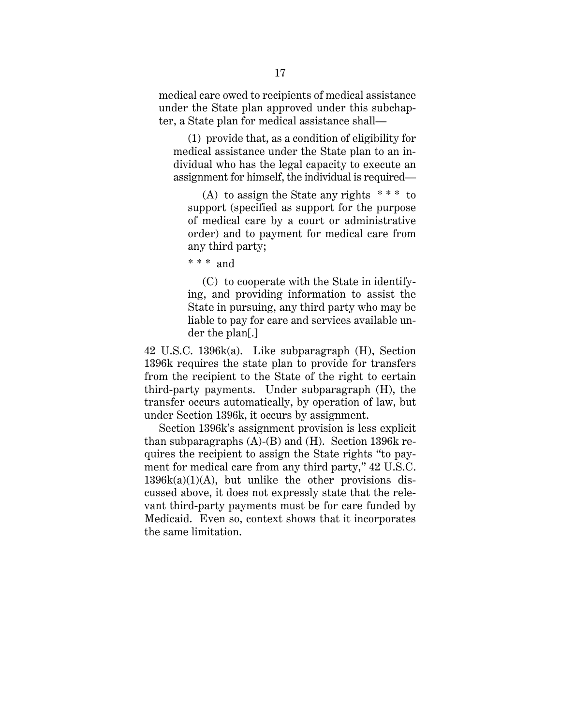medical care owed to recipients of medical assistance under the State plan approved under this subchapter, a State plan for medical assistance shall—

(1) provide that, as a condition of eligibility for medical assistance under the State plan to an individual who has the legal capacity to execute an assignment for himself, the individual is required—

(A) to assign the State any rights  $***$  to support (specified as support for the purpose of medical care by a court or administrative order) and to payment for medical care from any third party;

 $***$  and

(C) to cooperate with the State in identifying, and providing information to assist the State in pursuing, any third party who may be liable to pay for care and services available under the plan[.]

42 U.S.C. 1396k(a). Like subparagraph (H), Section 1396k requires the state plan to provide for transfers from the recipient to the State of the right to certain third-party payments. Under subparagraph (H), the transfer occurs automatically, by operation of law, but under Section 1396k, it occurs by assignment.

Section 1396k's assignment provision is less explicit than subparagraphs  $(A)$ - $(B)$  and  $(H)$ . Section 1396k requires the recipient to assign the State rights "to payment for medical care from any third party," 42 U.S.C.  $1396k(a)(1)(A)$ , but unlike the other provisions discussed above, it does not expressly state that the relevant third-party payments must be for care funded by Medicaid. Even so, context shows that it incorporates the same limitation.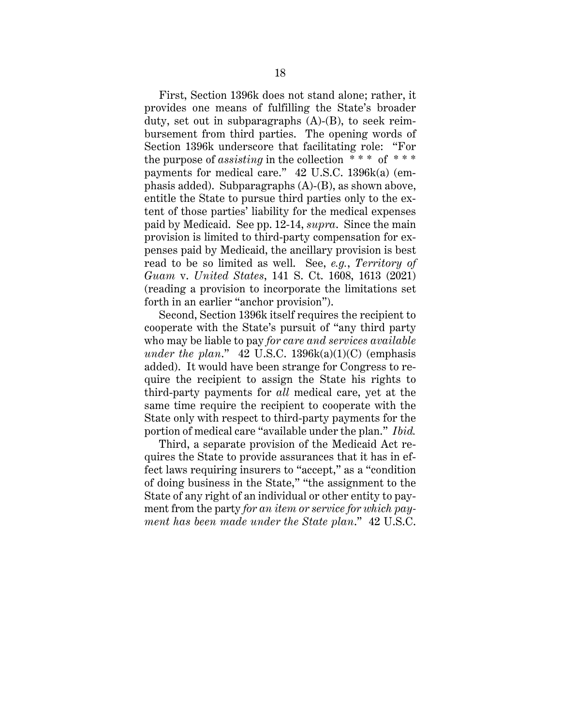First, Section 1396k does not stand alone; rather, it provides one means of fulfilling the State's broader duty, set out in subparagraphs (A)-(B), to seek reimbursement from third parties. The opening words of Section 1396k underscore that facilitating role: "For the purpose of *assisting* in the collection  $***$  of  $***$ payments for medical care." 42 U.S.C. 1396k(a) (emphasis added). Subparagraphs (A)-(B), as shown above, entitle the State to pursue third parties only to the extent of those parties' liability for the medical expenses paid by Medicaid. See pp. 12-14, *supra*. Since the main provision is limited to third-party compensation for expenses paid by Medicaid, the ancillary provision is best read to be so limited as well. See, *e.g.*, *Territory of Guam* v. *United States*, 141 S. Ct. 1608, 1613 (2021) (reading a provision to incorporate the limitations set forth in an earlier "anchor provision").

Second, Section 1396k itself requires the recipient to cooperate with the State's pursuit of "any third party who may be liable to pay *for care and services available under the plan*." 42 U.S.C. 1396k(a)(1)(C) (emphasis added). It would have been strange for Congress to require the recipient to assign the State his rights to third-party payments for *all* medical care, yet at the same time require the recipient to cooperate with the State only with respect to third-party payments for the portion of medical care "available under the plan." *Ibid.*

Third, a separate provision of the Medicaid Act requires the State to provide assurances that it has in effect laws requiring insurers to "accept," as a "condition of doing business in the State," "the assignment to the State of any right of an individual or other entity to payment from the party *for an item or service for which payment has been made under the State plan*." 42 U.S.C.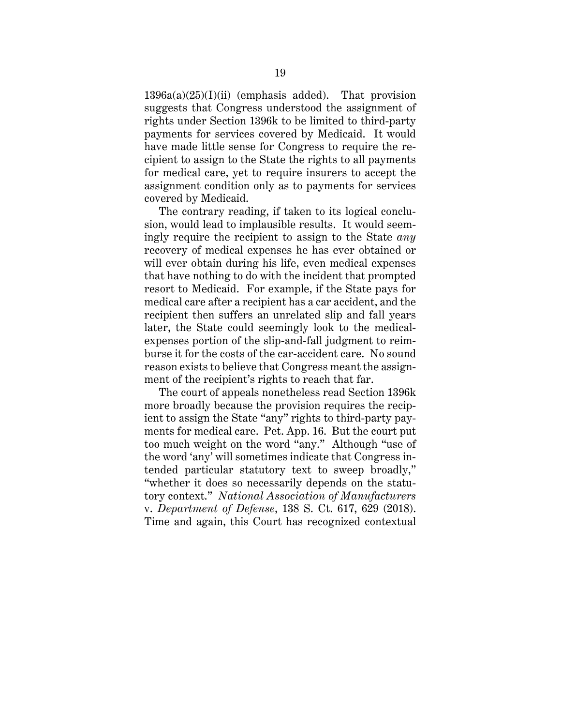$1396a(a)(25)(I)(ii)$  (emphasis added). That provision suggests that Congress understood the assignment of rights under Section 1396k to be limited to third-party payments for services covered by Medicaid. It would have made little sense for Congress to require the recipient to assign to the State the rights to all payments for medical care, yet to require insurers to accept the assignment condition only as to payments for services covered by Medicaid.

The contrary reading, if taken to its logical conclusion, would lead to implausible results. It would seemingly require the recipient to assign to the State *any* recovery of medical expenses he has ever obtained or will ever obtain during his life, even medical expenses that have nothing to do with the incident that prompted resort to Medicaid. For example, if the State pays for medical care after a recipient has a car accident, and the recipient then suffers an unrelated slip and fall years later, the State could seemingly look to the medicalexpenses portion of the slip-and-fall judgment to reimburse it for the costs of the car-accident care. No sound reason exists to believe that Congress meant the assignment of the recipient's rights to reach that far.

The court of appeals nonetheless read Section 1396k more broadly because the provision requires the recipient to assign the State "any" rights to third-party payments for medical care. Pet. App. 16. But the court put too much weight on the word "any." Although "use of the word 'any' will sometimes indicate that Congress intended particular statutory text to sweep broadly," "whether it does so necessarily depends on the statutory context." *National Association of Manufacturers*  v. *Department of Defense*, 138 S. Ct. 617, 629 (2018). Time and again, this Court has recognized contextual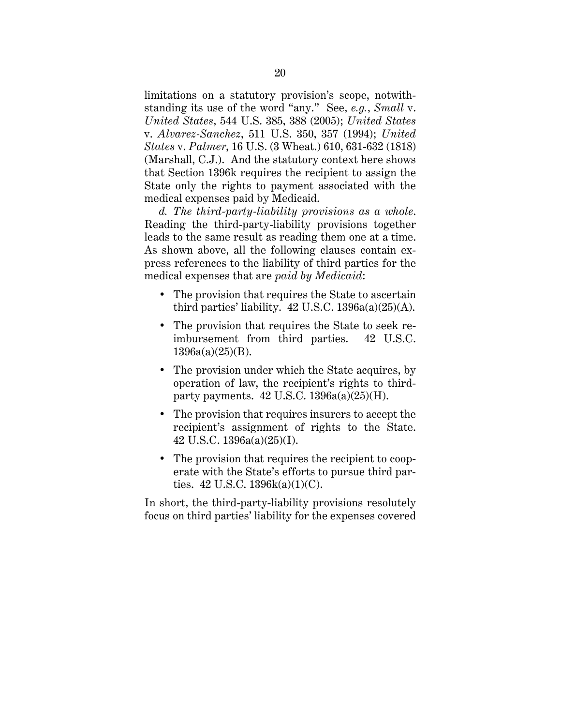limitations on a statutory provision's scope, notwithstanding its use of the word "any." See, *e.g.*, *Small* v. *United States*, 544 U.S. 385, 388 (2005); *United States*  v. *Alvarez-Sanchez*, 511 U.S. 350, 357 (1994); *United States* v. *Palmer*, 16 U.S. (3 Wheat.) 610, 631-632 (1818) (Marshall, C.J.). And the statutory context here shows that Section 1396k requires the recipient to assign the State only the rights to payment associated with the medical expenses paid by Medicaid.

*d. The third-party-liability provisions as a whole*. Reading the third-party-liability provisions together leads to the same result as reading them one at a time. As shown above, all the following clauses contain express references to the liability of third parties for the medical expenses that are *paid by Medicaid*:

- The provision that requires the State to ascertain third parties' liability.  $42$  U.S.C.  $1396a(a)(25)(A)$ .
- The provision that requires the State to seek reimbursement from third parties. 42 U.S.C. 1396a(a)(25)(B).
- The provision under which the State acquires, by operation of law, the recipient's rights to thirdparty payments.  $42$  U.S.C.  $1396a(a)(25)(H)$ .
- The provision that requires insurers to accept the recipient's assignment of rights to the State. 42 U.S.C. 1396a(a)(25)(I).
- The provision that requires the recipient to cooperate with the State's efforts to pursue third parties. 42 U.S.C. 1396k(a)(1)(C).

In short, the third-party-liability provisions resolutely focus on third parties' liability for the expenses covered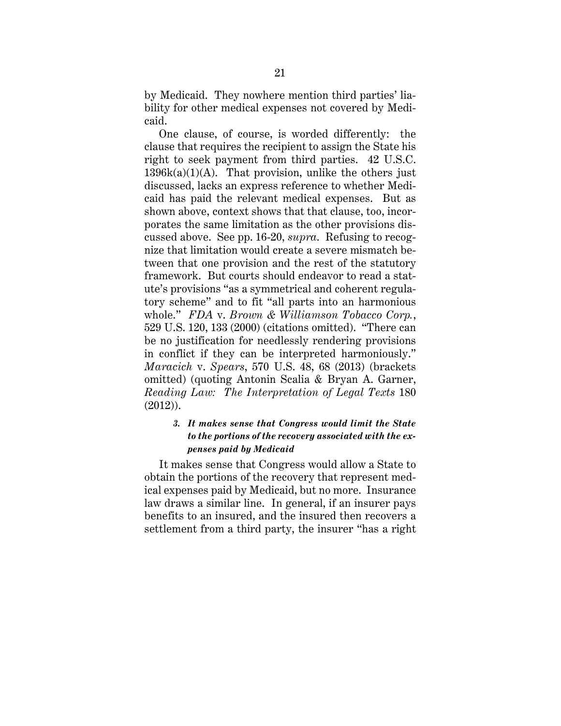by Medicaid. They nowhere mention third parties' liability for other medical expenses not covered by Medicaid.

One clause, of course, is worded differently: the clause that requires the recipient to assign the State his right to seek payment from third parties. 42 U.S.C.  $1396k(a)(1)(A)$ . That provision, unlike the others just discussed, lacks an express reference to whether Medicaid has paid the relevant medical expenses. But as shown above, context shows that that clause, too, incorporates the same limitation as the other provisions discussed above. See pp. 16-20, *supra*. Refusing to recognize that limitation would create a severe mismatch between that one provision and the rest of the statutory framework. But courts should endeavor to read a statute's provisions "as a symmetrical and coherent regulatory scheme" and to fit "all parts into an harmonious whole." *FDA* v. *Brown & Williamson Tobacco Corp.*, 529 U.S. 120, 133 (2000) (citations omitted). "There can be no justification for needlessly rendering provisions in conflict if they can be interpreted harmoniously." *Maracich* v. *Spears*, 570 U.S. 48, 68 (2013) (brackets omitted) (quoting Antonin Scalia & Bryan A. Garner, *Reading Law: The Interpretation of Legal Texts* 180 (2012)).

# *3. It makes sense that Congress would limit the State to the portions of the recovery associated with the expenses paid by Medicaid*

It makes sense that Congress would allow a State to obtain the portions of the recovery that represent medical expenses paid by Medicaid, but no more. Insurance law draws a similar line. In general, if an insurer pays benefits to an insured, and the insured then recovers a settlement from a third party, the insurer "has a right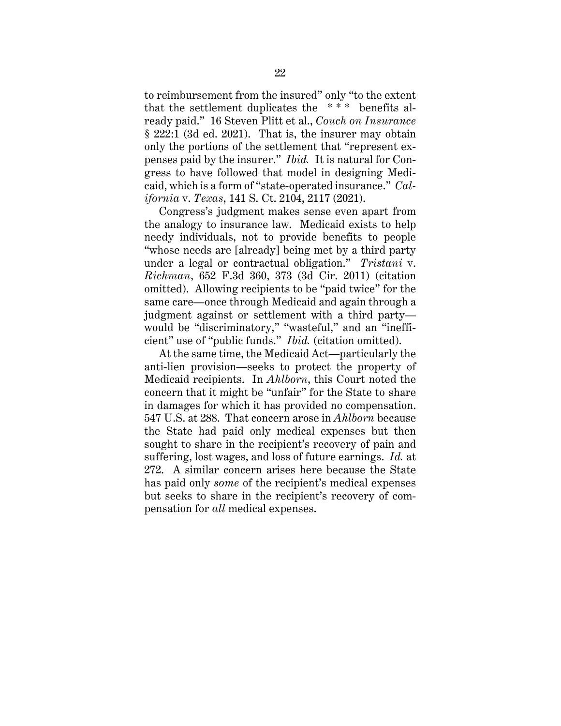to reimbursement from the insured" only "to the extent that the settlement duplicates the  $***$  benefits already paid." 16 Steven Plitt et al., *Couch on Insurance* § 222:1 (3d ed. 2021). That is, the insurer may obtain only the portions of the settlement that "represent expenses paid by the insurer." *Ibid.* It is natural for Congress to have followed that model in designing Medicaid, which is a form of "state-operated insurance." *California* v. *Texas*, 141 S. Ct. 2104, 2117 (2021).

Congress's judgment makes sense even apart from the analogy to insurance law. Medicaid exists to help needy individuals, not to provide benefits to people "whose needs are [already] being met by a third party under a legal or contractual obligation." *Tristani* v. *Richman*, 652 F.3d 360, 373 (3d Cir. 2011) (citation omitted). Allowing recipients to be "paid twice" for the same care—once through Medicaid and again through a judgment against or settlement with a third party would be "discriminatory," "wasteful," and an "inefficient" use of "public funds." *Ibid.* (citation omitted).

At the same time, the Medicaid Act—particularly the anti-lien provision—seeks to protect the property of Medicaid recipients. In *Ahlborn*, this Court noted the concern that it might be "unfair" for the State to share in damages for which it has provided no compensation. 547 U.S. at 288. That concern arose in *Ahlborn* because the State had paid only medical expenses but then sought to share in the recipient's recovery of pain and suffering, lost wages, and loss of future earnings. *Id.* at 272. A similar concern arises here because the State has paid only *some* of the recipient's medical expenses but seeks to share in the recipient's recovery of compensation for *all* medical expenses.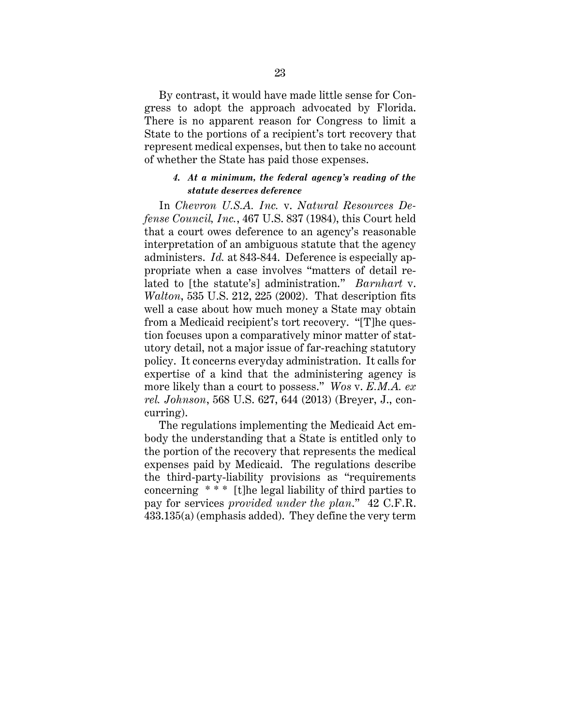By contrast, it would have made little sense for Congress to adopt the approach advocated by Florida. There is no apparent reason for Congress to limit a State to the portions of a recipient's tort recovery that represent medical expenses, but then to take no account of whether the State has paid those expenses.

### *4. At a minimum, the federal agency's reading of the statute deserves deference*

In *Chevron U.S.A. Inc.* v. *Natural Resources Defense Council, Inc.*, 467 U.S. 837 (1984), this Court held that a court owes deference to an agency's reasonable interpretation of an ambiguous statute that the agency administers. *Id.* at 843-844. Deference is especially appropriate when a case involves "matters of detail related to [the statute's] administration." *Barnhart* v. *Walton*, 535 U.S. 212, 225 (2002). That description fits well a case about how much money a State may obtain from a Medicaid recipient's tort recovery. "[T]he question focuses upon a comparatively minor matter of statutory detail, not a major issue of far-reaching statutory policy. It concerns everyday administration. It calls for expertise of a kind that the administering agency is more likely than a court to possess." *Wos* v. *E.M.A. ex rel. Johnson*, 568 U.S. 627, 644 (2013) (Breyer, J., concurring).

The regulations implementing the Medicaid Act embody the understanding that a State is entitled only to the portion of the recovery that represents the medical expenses paid by Medicaid. The regulations describe the third-party-liability provisions as "requirements concerning \* \* \* [t]he legal liability of third parties to pay for services *provided under the plan*." 42 C.F.R. 433.135(a) (emphasis added). They define the very term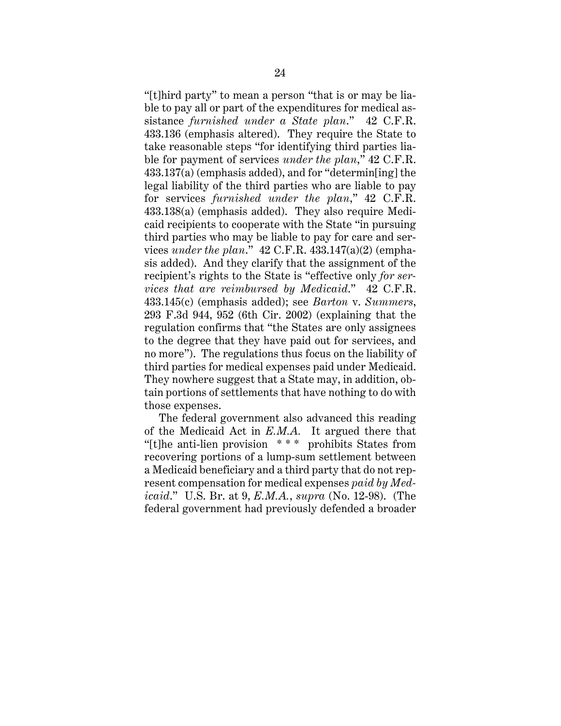"[t]hird party" to mean a person "that is or may be liable to pay all or part of the expenditures for medical assistance *furnished under a State plan*." 42 C.F.R. 433.136 (emphasis altered). They require the State to take reasonable steps "for identifying third parties liable for payment of services *under the plan*," 42 C.F.R. 433.137(a) (emphasis added), and for "determin[ing] the legal liability of the third parties who are liable to pay for services *furnished under the plan*," 42 C.F.R. 433.138(a) (emphasis added). They also require Medicaid recipients to cooperate with the State "in pursuing third parties who may be liable to pay for care and services *under the plan*." 42 C.F.R. 433.147(a)(2) (emphasis added). And they clarify that the assignment of the recipient's rights to the State is "effective only *for services that are reimbursed by Medicaid*." 42 C.F.R. 433.145(c) (emphasis added); see *Barton* v. *Summers*, 293 F.3d 944, 952 (6th Cir. 2002) (explaining that the regulation confirms that "the States are only assignees to the degree that they have paid out for services, and no more"). The regulations thus focus on the liability of third parties for medical expenses paid under Medicaid. They nowhere suggest that a State may, in addition, obtain portions of settlements that have nothing to do with those expenses.

The federal government also advanced this reading of the Medicaid Act in *E.M.A.* It argued there that "[t]he anti-lien provision \* \* \* prohibits States from recovering portions of a lump-sum settlement between a Medicaid beneficiary and a third party that do not represent compensation for medical expenses *paid by Medicaid*." U.S. Br. at 9, *E.M.A.*, *supra* (No. 12-98). (The federal government had previously defended a broader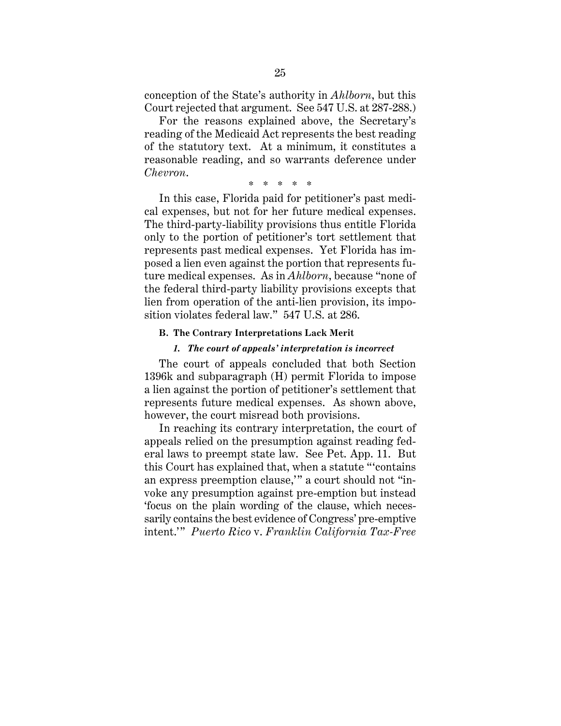conception of the State's authority in *Ahlborn*, but this Court rejected that argument. See 547 U.S. at 287-288.)

For the reasons explained above, the Secretary's reading of the Medicaid Act represents the best reading of the statutory text. At a minimum, it constitutes a reasonable reading, and so warrants deference under *Chevron*.

\* \* \* \* \*

In this case, Florida paid for petitioner's past medical expenses, but not for her future medical expenses. The third-party-liability provisions thus entitle Florida only to the portion of petitioner's tort settlement that represents past medical expenses. Yet Florida has imposed a lien even against the portion that represents future medical expenses. As in *Ahlborn*, because "none of the federal third-party liability provisions excepts that lien from operation of the anti-lien provision, its imposition violates federal law." 547 U.S. at 286.

#### **B. The Contrary Interpretations Lack Merit**

#### *1. The court of appeals' interpretation is incorrect*

The court of appeals concluded that both Section 1396k and subparagraph (H) permit Florida to impose a lien against the portion of petitioner's settlement that represents future medical expenses. As shown above, however, the court misread both provisions.

In reaching its contrary interpretation, the court of appeals relied on the presumption against reading federal laws to preempt state law. See Pet. App. 11. But this Court has explained that, when a statute "'contains an express preemption clause,'" a court should not "invoke any presumption against pre-emption but instead 'focus on the plain wording of the clause, which necessarily contains the best evidence of Congress' pre-emptive intent.'" *Puerto Rico* v. *Franklin California Tax-Free*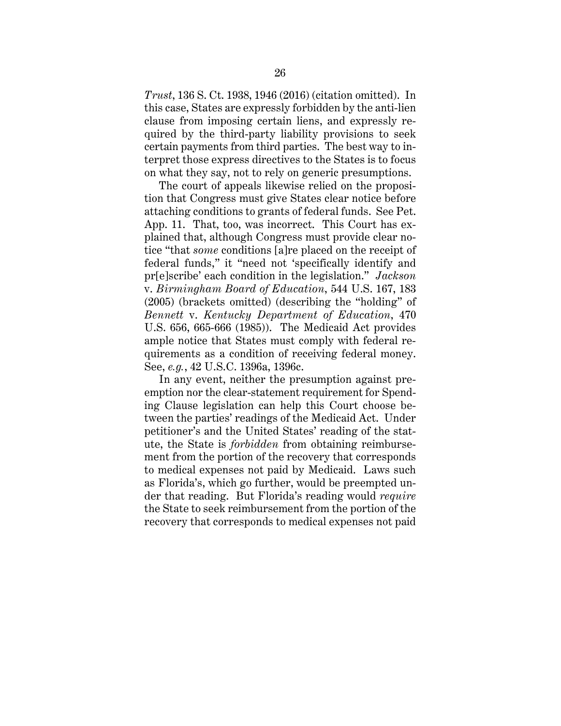*Trust*, 136 S. Ct. 1938, 1946 (2016) (citation omitted). In this case, States are expressly forbidden by the anti-lien clause from imposing certain liens, and expressly required by the third-party liability provisions to seek certain payments from third parties. The best way to interpret those express directives to the States is to focus on what they say, not to rely on generic presumptions.

The court of appeals likewise relied on the proposition that Congress must give States clear notice before attaching conditions to grants of federal funds. See Pet. App. 11. That, too, was incorrect. This Court has explained that, although Congress must provide clear notice "that *some* conditions [a]re placed on the receipt of federal funds," it "need not 'specifically identify and pr[e]scribe' each condition in the legislation." *Jackson*  v. *Birmingham Board of Education*, 544 U.S. 167, 183 (2005) (brackets omitted) (describing the "holding" of *Bennett* v. *Kentucky Department of Education*, 470 U.S. 656, 665-666 (1985)). The Medicaid Act provides ample notice that States must comply with federal requirements as a condition of receiving federal money. See, *e.g.*, 42 U.S.C. 1396a, 1396c.

In any event, neither the presumption against preemption nor the clear-statement requirement for Spending Clause legislation can help this Court choose between the parties' readings of the Medicaid Act. Under petitioner's and the United States' reading of the statute, the State is *forbidden* from obtaining reimbursement from the portion of the recovery that corresponds to medical expenses not paid by Medicaid. Laws such as Florida's, which go further, would be preempted under that reading. But Florida's reading would *require* the State to seek reimbursement from the portion of the recovery that corresponds to medical expenses not paid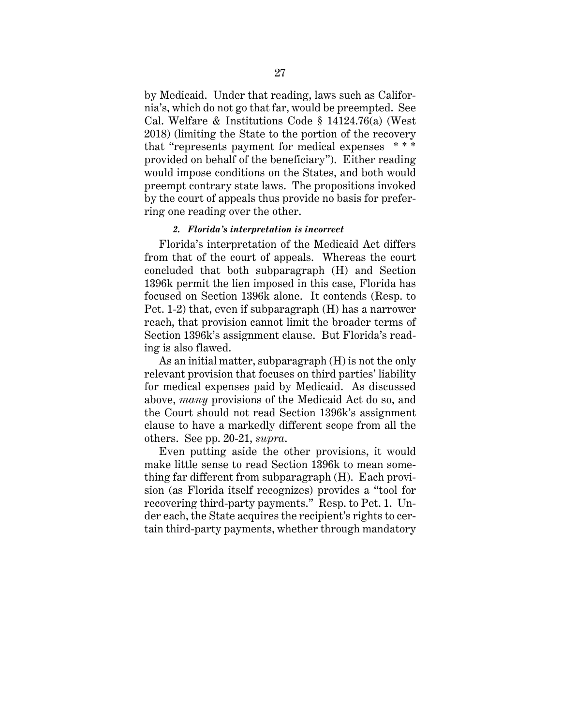by Medicaid. Under that reading, laws such as California's, which do not go that far, would be preempted. See Cal. Welfare & Institutions Code § 14124.76(a) (West 2018) (limiting the State to the portion of the recovery that "represents payment for medical expenses \* \* \* provided on behalf of the beneficiary"). Either reading would impose conditions on the States, and both would preempt contrary state laws. The propositions invoked by the court of appeals thus provide no basis for preferring one reading over the other.

#### *2. Florida's interpretation is incorrect*

Florida's interpretation of the Medicaid Act differs from that of the court of appeals. Whereas the court concluded that both subparagraph (H) and Section 1396k permit the lien imposed in this case, Florida has focused on Section 1396k alone. It contends (Resp. to Pet. 1-2) that, even if subparagraph (H) has a narrower reach, that provision cannot limit the broader terms of Section 1396k's assignment clause. But Florida's reading is also flawed.

As an initial matter, subparagraph (H) is not the only relevant provision that focuses on third parties' liability for medical expenses paid by Medicaid. As discussed above, *many* provisions of the Medicaid Act do so, and the Court should not read Section 1396k's assignment clause to have a markedly different scope from all the others. See pp. 20-21, *supra*.

Even putting aside the other provisions, it would make little sense to read Section 1396k to mean something far different from subparagraph (H). Each provision (as Florida itself recognizes) provides a "tool for recovering third-party payments." Resp. to Pet. 1. Under each, the State acquires the recipient's rights to certain third-party payments, whether through mandatory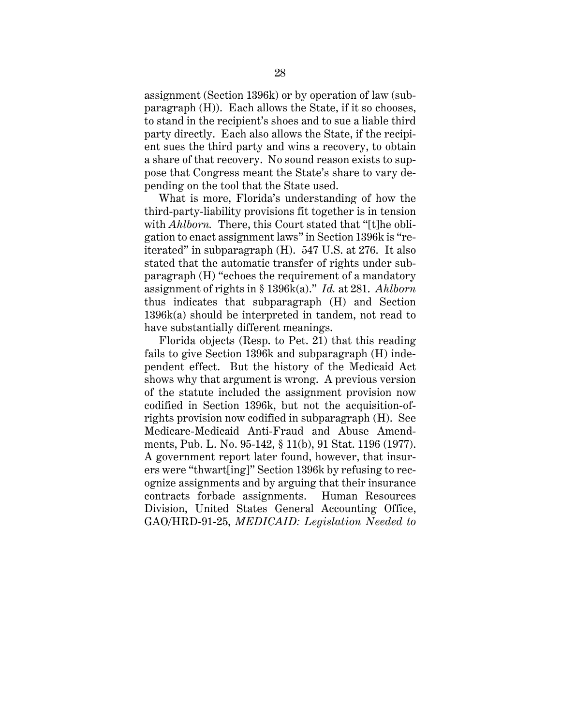assignment (Section 1396k) or by operation of law (subparagraph (H)). Each allows the State, if it so chooses, to stand in the recipient's shoes and to sue a liable third party directly. Each also allows the State, if the recipient sues the third party and wins a recovery, to obtain a share of that recovery. No sound reason exists to suppose that Congress meant the State's share to vary depending on the tool that the State used.

What is more, Florida's understanding of how the third-party-liability provisions fit together is in tension with *Ahlborn*. There, this Court stated that "[t]he obligation to enact assignment laws" in Section 1396k is "reiterated" in subparagraph (H). 547 U.S. at 276. It also stated that the automatic transfer of rights under subparagraph (H) "echoes the requirement of a mandatory assignment of rights in § 1396k(a)." *Id.* at 281. *Ahlborn* thus indicates that subparagraph (H) and Section 1396k(a) should be interpreted in tandem, not read to have substantially different meanings.

Florida objects (Resp. to Pet. 21) that this reading fails to give Section 1396k and subparagraph (H) independent effect. But the history of the Medicaid Act shows why that argument is wrong. A previous version of the statute included the assignment provision now codified in Section 1396k, but not the acquisition-ofrights provision now codified in subparagraph (H). See Medicare-Medicaid Anti-Fraud and Abuse Amendments, Pub. L. No. 95-142, § 11(b), 91 Stat. 1196 (1977). A government report later found, however, that insurers were "thwart[ing]" Section 1396k by refusing to recognize assignments and by arguing that their insurance contracts forbade assignments. Human Resources Division, United States General Accounting Office, GAO/HRD-91-25, *MEDICAID: Legislation Needed to*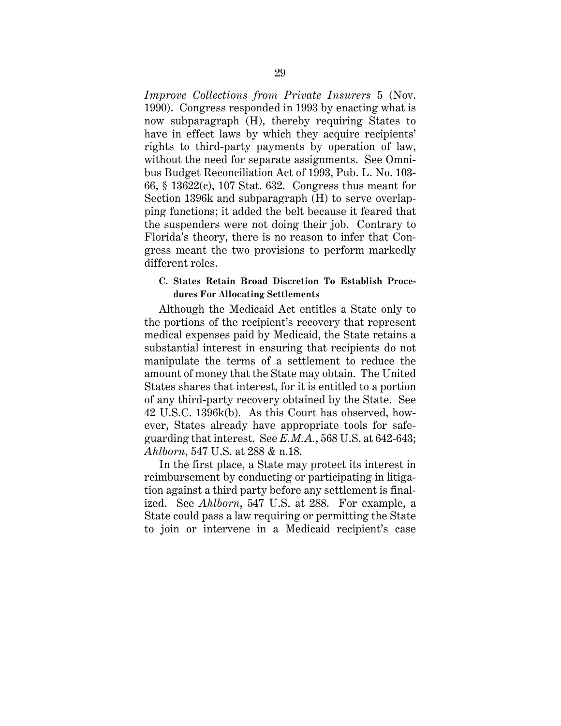*Improve Collections from Private Insurers* 5 (Nov. 1990). Congress responded in 1993 by enacting what is now subparagraph (H), thereby requiring States to have in effect laws by which they acquire recipients' rights to third-party payments by operation of law, without the need for separate assignments. See Omnibus Budget Reconciliation Act of 1993, Pub. L. No. 103- 66, § 13622(c), 107 Stat. 632. Congress thus meant for Section 1396k and subparagraph (H) to serve overlapping functions; it added the belt because it feared that the suspenders were not doing their job. Contrary to Florida's theory, there is no reason to infer that Congress meant the two provisions to perform markedly different roles.

# **C. States Retain Broad Discretion To Establish Procedures For Allocating Settlements**

Although the Medicaid Act entitles a State only to the portions of the recipient's recovery that represent medical expenses paid by Medicaid, the State retains a substantial interest in ensuring that recipients do not manipulate the terms of a settlement to reduce the amount of money that the State may obtain. The United States shares that interest, for it is entitled to a portion of any third-party recovery obtained by the State. See 42 U.S.C. 1396k(b). As this Court has observed, however, States already have appropriate tools for safeguarding that interest. See *E.M.A.*, 568 U.S. at 642-643; *Ahlborn*, 547 U.S. at 288 & n.18.

In the first place, a State may protect its interest in reimbursement by conducting or participating in litigation against a third party before any settlement is finalized. See *Ahlborn*, 547 U.S. at 288. For example, a State could pass a law requiring or permitting the State to join or intervene in a Medicaid recipient's case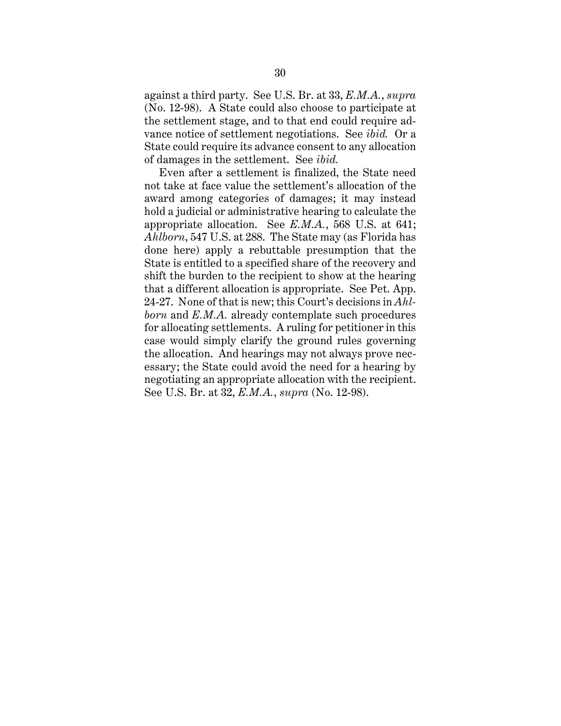against a third party. See U.S. Br. at 33, *E.M.A.*, *supra* (No. 12-98). A State could also choose to participate at the settlement stage, and to that end could require advance notice of settlement negotiations. See *ibid.* Or a State could require its advance consent to any allocation of damages in the settlement. See *ibid.*

Even after a settlement is finalized, the State need not take at face value the settlement's allocation of the award among categories of damages; it may instead hold a judicial or administrative hearing to calculate the appropriate allocation. See *E.M.A.*, 568 U.S. at 641; *Ahlborn*, 547 U.S. at 288. The State may (as Florida has done here) apply a rebuttable presumption that the State is entitled to a specified share of the recovery and shift the burden to the recipient to show at the hearing that a different allocation is appropriate. See Pet. App. 24-27. None of that is new; this Court's decisions in *Ahlborn* and *E.M.A.* already contemplate such procedures for allocating settlements. A ruling for petitioner in this case would simply clarify the ground rules governing the allocation. And hearings may not always prove necessary; the State could avoid the need for a hearing by negotiating an appropriate allocation with the recipient. See U.S. Br. at 32, *E.M.A.*, *supra* (No. 12-98).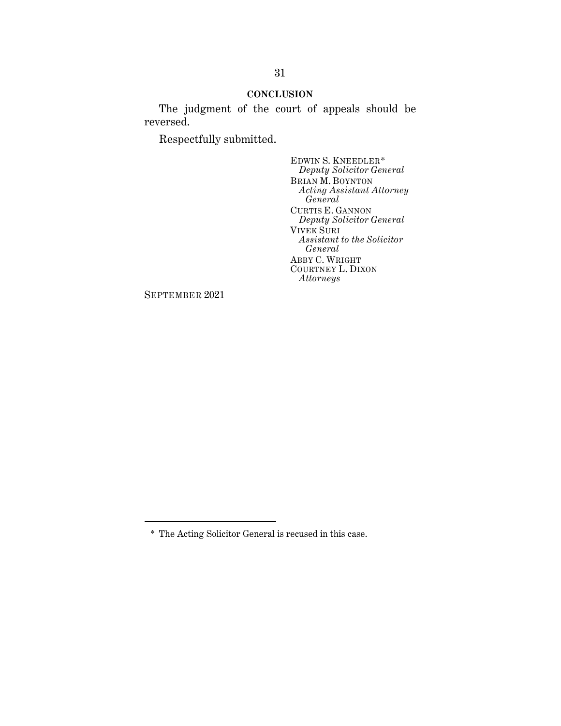### **CONCLUSION**

The judgment of the court of appeals should be reversed.

Respectfully submitted.

EDWIN S. KNEEDLER\* *Deputy Solicitor General* BRIAN M. BOYNTON *Acting Assistant Attorney General* CURTIS E. GANNON *Deputy Solicitor General* VIVEK SURI *Assistant to the Solicitor General* ABBY C. WRIGHT COURTNEY L. DIXON *Attorneys*

SEPTEMBER 2021

<sup>\*</sup> The Acting Solicitor General is recused in this case.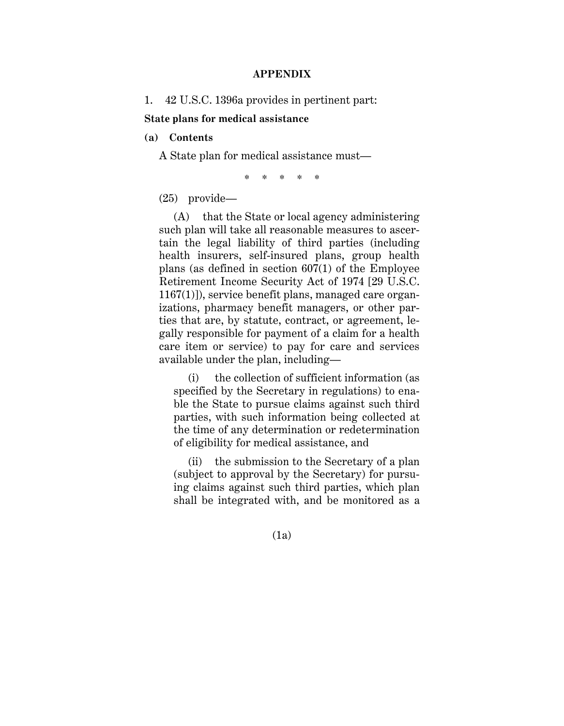### **APPENDIX**

1. 42 U.S.C. 1396a provides in pertinent part:

**State plans for medical assistance**

**(a) Contents**

A State plan for medical assistance must—

\* \* \* \* \*

(25) provide—

(A) that the State or local agency administering such plan will take all reasonable measures to ascertain the legal liability of third parties (including health insurers, self-insured plans, group health plans (as defined in section 607(1) of the Employee Retirement Income Security Act of 1974 [29 U.S.C. 1167(1)]), service benefit plans, managed care organizations, pharmacy benefit managers, or other parties that are, by statute, contract, or agreement, legally responsible for payment of a claim for a health care item or service) to pay for care and services available under the plan, including—

(i) the collection of sufficient information (as specified by the Secretary in regulations) to enable the State to pursue claims against such third parties, with such information being collected at the time of any determination or redetermination of eligibility for medical assistance, and

(ii) the submission to the Secretary of a plan (subject to approval by the Secretary) for pursuing claims against such third parties, which plan shall be integrated with, and be monitored as a

(1a)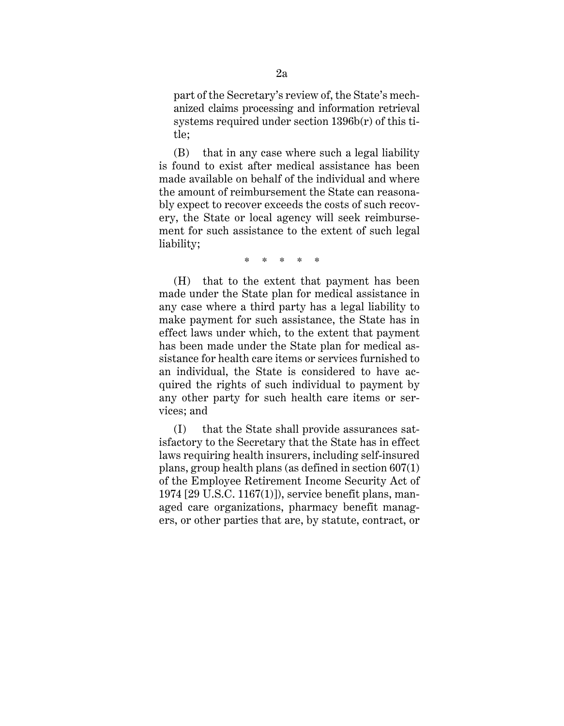part of the Secretary's review of, the State's mechanized claims processing and information retrieval systems required under section 1396b(r) of this title;

(B) that in any case where such a legal liability is found to exist after medical assistance has been made available on behalf of the individual and where the amount of reimbursement the State can reasonably expect to recover exceeds the costs of such recovery, the State or local agency will seek reimbursement for such assistance to the extent of such legal liability;

\* \* \* \* \*

(H) that to the extent that payment has been made under the State plan for medical assistance in any case where a third party has a legal liability to make payment for such assistance, the State has in effect laws under which, to the extent that payment has been made under the State plan for medical assistance for health care items or services furnished to an individual, the State is considered to have acquired the rights of such individual to payment by any other party for such health care items or services; and

(I) that the State shall provide assurances satisfactory to the Secretary that the State has in effect laws requiring health insurers, including self-insured plans, group health plans (as defined in section 607(1) of the Employee Retirement Income Security Act of 1974 [29 U.S.C. 1167(1)]), service benefit plans, managed care organizations, pharmacy benefit managers, or other parties that are, by statute, contract, or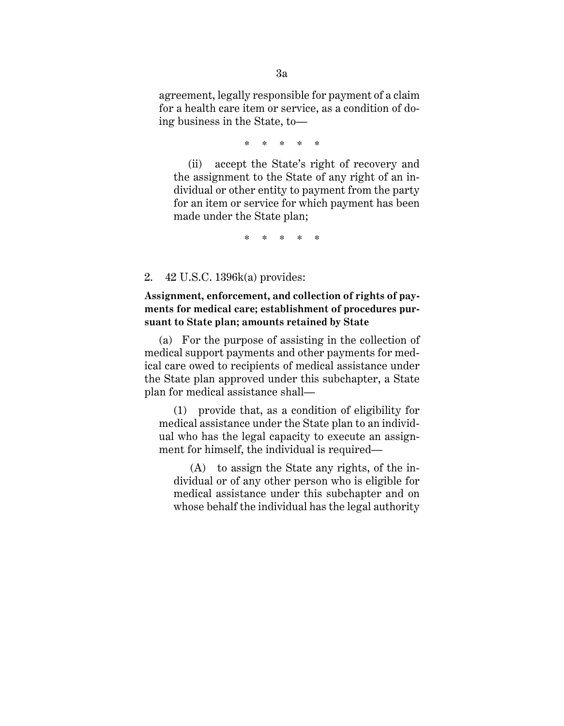agreement, legally responsible for payment of a claim for a health care item or service, as a condition of doing business in the State, to—

\* \* \* \* \*

(ii) accept the State's right of recovery and the assignment to the State of any right of an individual or other entity to payment from the party for an item or service for which payment has been made under the State plan;

\* \* \* \* \*

2. 42 U.S.C. 1396k(a) provides:

**Assignment, enforcement, and collection of rights of payments for medical care; establishment of procedures pursuant to State plan; amounts retained by State**

(a) For the purpose of assisting in the collection of medical support payments and other payments for medical care owed to recipients of medical assistance under the State plan approved under this subchapter, a State plan for medical assistance shall—

(1) provide that, as a condition of eligibility for medical assistance under the State plan to an individual who has the legal capacity to execute an assignment for himself, the individual is required—

(A) to assign the State any rights, of the individual or of any other person who is eligible for medical assistance under this subchapter and on whose behalf the individual has the legal authority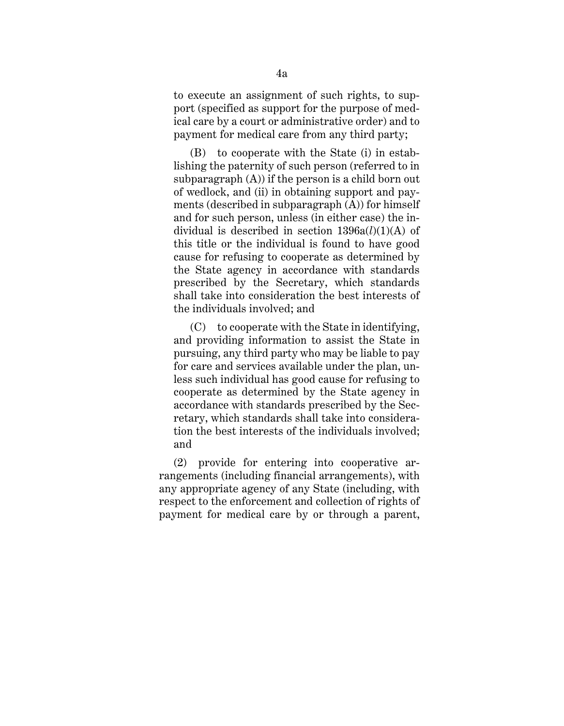to execute an assignment of such rights, to support (specified as support for the purpose of medical care by a court or administrative order) and to payment for medical care from any third party;

(B) to cooperate with the State (i) in establishing the paternity of such person (referred to in subparagraph  $(A)$ ) if the person is a child born out of wedlock, and (ii) in obtaining support and payments (described in subparagraph (A)) for himself and for such person, unless (in either case) the individual is described in section 1396a(*l*)(1)(A) of this title or the individual is found to have good cause for refusing to cooperate as determined by the State agency in accordance with standards prescribed by the Secretary, which standards shall take into consideration the best interests of the individuals involved; and

(C) to cooperate with the State in identifying, and providing information to assist the State in pursuing, any third party who may be liable to pay for care and services available under the plan, unless such individual has good cause for refusing to cooperate as determined by the State agency in accordance with standards prescribed by the Secretary, which standards shall take into consideration the best interests of the individuals involved; and

(2) provide for entering into cooperative arrangements (including financial arrangements), with any appropriate agency of any State (including, with respect to the enforcement and collection of rights of payment for medical care by or through a parent,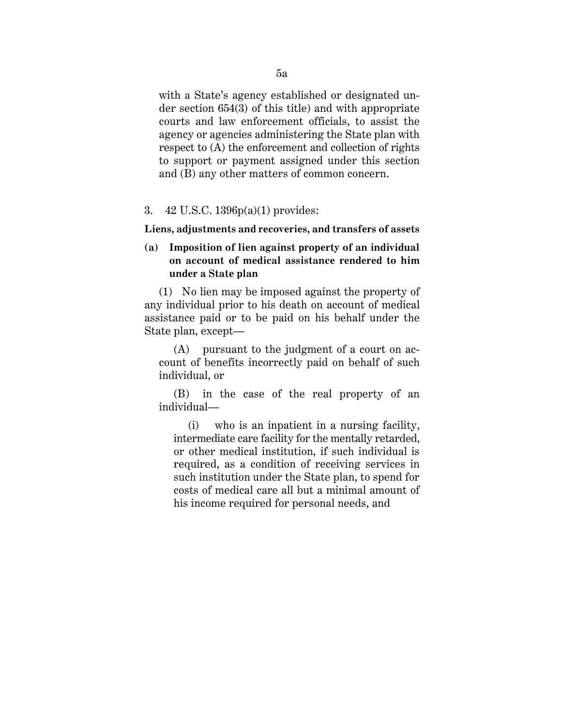with a State's agency established or designated under section 654(3) of this title) and with appropriate courts and law enforcement officials, to assist the agency or agencies administering the State plan with respect to (A) the enforcement and collection of rights to support or payment assigned under this section and (B) any other matters of common concern.

### 3. 42 U.S.C. 1396p(a)(1) provides:

**Liens, adjustments and recoveries, and transfers of assets**

# **(a) Imposition of lien against property of an individual on account of medical assistance rendered to him under a State plan**

(1) No lien may be imposed against the property of any individual prior to his death on account of medical assistance paid or to be paid on his behalf under the State plan, except—

(A) pursuant to the judgment of a court on account of benefits incorrectly paid on behalf of such individual, or

(B) in the case of the real property of an individual—

(i) who is an inpatient in a nursing facility, intermediate care facility for the mentally retarded, or other medical institution, if such individual is required, as a condition of receiving services in such institution under the State plan, to spend for costs of medical care all but a minimal amount of his income required for personal needs, and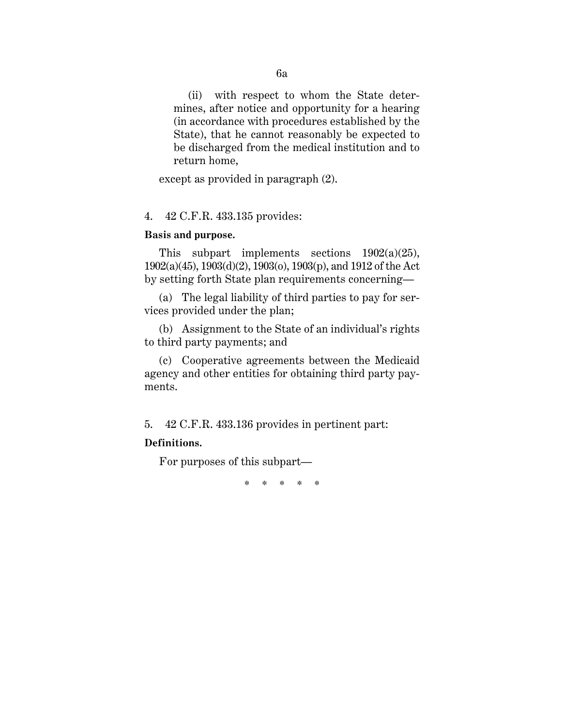(ii) with respect to whom the State determines, after notice and opportunity for a hearing (in accordance with procedures established by the State), that he cannot reasonably be expected to be discharged from the medical institution and to return home,

except as provided in paragraph (2).

### 4. 42 C.F.R. 433.135 provides:

# **Basis and purpose.**

This subpart implements sections 1902(a)(25), 1902(a)(45), 1903(d)(2), 1903(o), 1903(p), and 1912 of the Act by setting forth State plan requirements concerning—

(a) The legal liability of third parties to pay for services provided under the plan;

(b) Assignment to the State of an individual's rights to third party payments; and

(c) Cooperative agreements between the Medicaid agency and other entities for obtaining third party payments.

5. 42 C.F.R. 433.136 provides in pertinent part:

# **Definitions.**

For purposes of this subpart—

\* \* \* \* \*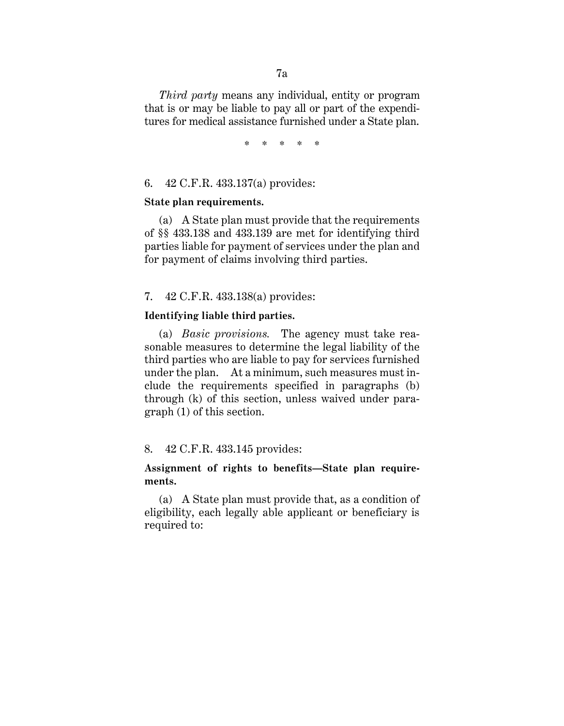*Third party* means any individual, entity or program that is or may be liable to pay all or part of the expenditures for medical assistance furnished under a State plan.

\* \* \* \* \*

# 6. 42 C.F.R. 433.137(a) provides:

### **State plan requirements.**

(a) A State plan must provide that the requirements of §§ 433.138 and 433.139 are met for identifying third parties liable for payment of services under the plan and for payment of claims involving third parties.

# 7. 42 C.F.R. 433.138(a) provides:

# **Identifying liable third parties.**

(a) *Basic provisions.* The agency must take reasonable measures to determine the legal liability of the third parties who are liable to pay for services furnished under the plan. At a minimum, such measures must include the requirements specified in paragraphs (b) through (k) of this section, unless waived under paragraph (1) of this section.

# 8. 42 C.F.R. 433.145 provides:

# **Assignment of rights to benefits—State plan requirements.**

(a) A State plan must provide that, as a condition of eligibility, each legally able applicant or beneficiary is required to: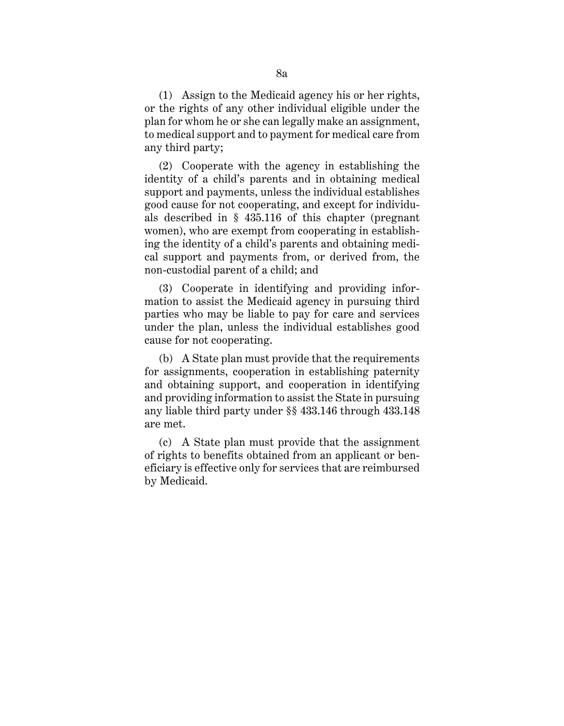(1) Assign to the Medicaid agency his or her rights, or the rights of any other individual eligible under the plan for whom he or she can legally make an assignment, to medical support and to payment for medical care from any third party;

(2) Cooperate with the agency in establishing the identity of a child's parents and in obtaining medical support and payments, unless the individual establishes good cause for not cooperating, and except for individuals described in § 435.116 of this chapter (pregnant women), who are exempt from cooperating in establishing the identity of a child's parents and obtaining medical support and payments from, or derived from, the non-custodial parent of a child; and

(3) Cooperate in identifying and providing information to assist the Medicaid agency in pursuing third parties who may be liable to pay for care and services under the plan, unless the individual establishes good cause for not cooperating.

(b) A State plan must provide that the requirements for assignments, cooperation in establishing paternity and obtaining support, and cooperation in identifying and providing information to assist the State in pursuing any liable third party under §§ 433.146 through 433.148 are met.

(c) A State plan must provide that the assignment of rights to benefits obtained from an applicant or beneficiary is effective only for services that are reimbursed by Medicaid.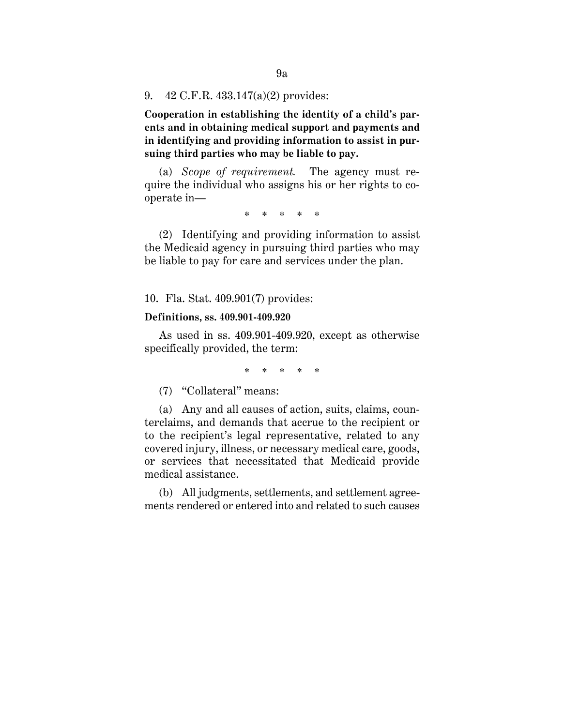9. 42 C.F.R. 433.147(a)(2) provides:

**Cooperation in establishing the identity of a child's parents and in obtaining medical support and payments and in identifying and providing information to assist in pursuing third parties who may be liable to pay.**

(a) *Scope of requirement.* The agency must require the individual who assigns his or her rights to cooperate in—

\* \* \* \* \*

(2) Identifying and providing information to assist the Medicaid agency in pursuing third parties who may be liable to pay for care and services under the plan.

10. Fla. Stat. 409.901(7) provides:

#### **Definitions, ss. 409.901-409.920**

As used in ss. 409.901-409.920, except as otherwise specifically provided, the term:

\* \* \* \* \*

(7) "Collateral" means:

(a) Any and all causes of action, suits, claims, counterclaims, and demands that accrue to the recipient or to the recipient's legal representative, related to any covered injury, illness, or necessary medical care, goods, or services that necessitated that Medicaid provide medical assistance.

(b) All judgments, settlements, and settlement agreements rendered or entered into and related to such causes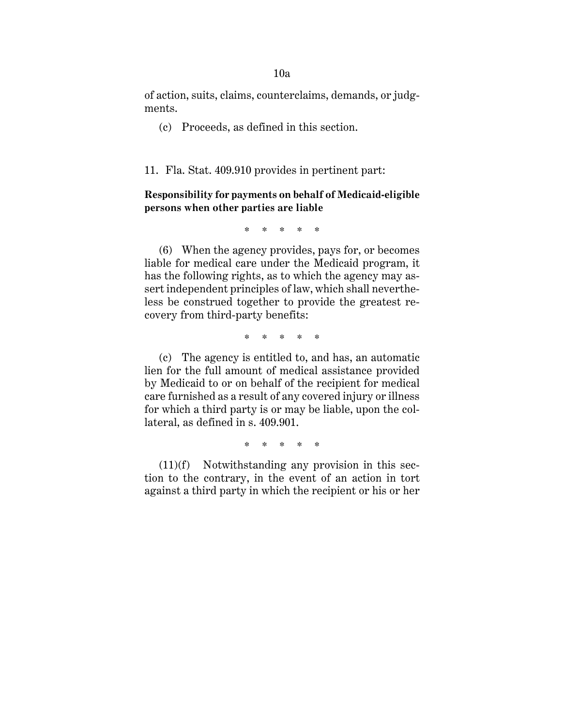of action, suits, claims, counterclaims, demands, or judgments.

(c) Proceeds, as defined in this section.

11. Fla. Stat. 409.910 provides in pertinent part:

**Responsibility for payments on behalf of Medicaid-eligible persons when other parties are liable**

\* \* \* \* \*

(6) When the agency provides, pays for, or becomes liable for medical care under the Medicaid program, it has the following rights, as to which the agency may assert independent principles of law, which shall nevertheless be construed together to provide the greatest recovery from third-party benefits:

\* \* \* \* \*

(c) The agency is entitled to, and has, an automatic lien for the full amount of medical assistance provided by Medicaid to or on behalf of the recipient for medical care furnished as a result of any covered injury or illness for which a third party is or may be liable, upon the collateral, as defined in s. 409.901.

\* \* \* \* \*

 $(11)(f)$  Notwithstanding any provision in this section to the contrary, in the event of an action in tort against a third party in which the recipient or his or her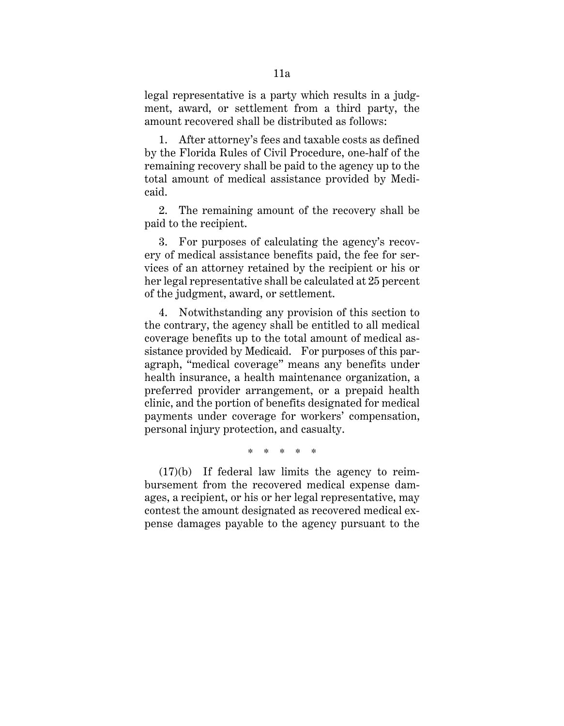legal representative is a party which results in a judgment, award, or settlement from a third party, the amount recovered shall be distributed as follows:

1. After attorney's fees and taxable costs as defined by the Florida Rules of Civil Procedure, one-half of the remaining recovery shall be paid to the agency up to the total amount of medical assistance provided by Medicaid.

2. The remaining amount of the recovery shall be paid to the recipient.

3. For purposes of calculating the agency's recovery of medical assistance benefits paid, the fee for services of an attorney retained by the recipient or his or her legal representative shall be calculated at 25 percent of the judgment, award, or settlement.

4. Notwithstanding any provision of this section to the contrary, the agency shall be entitled to all medical coverage benefits up to the total amount of medical assistance provided by Medicaid. For purposes of this paragraph, "medical coverage" means any benefits under health insurance, a health maintenance organization, a preferred provider arrangement, or a prepaid health clinic, and the portion of benefits designated for medical payments under coverage for workers' compensation, personal injury protection, and casualty.

\* \* \* \* \*

(17)(b) If federal law limits the agency to reimbursement from the recovered medical expense damages, a recipient, or his or her legal representative, may contest the amount designated as recovered medical expense damages payable to the agency pursuant to the